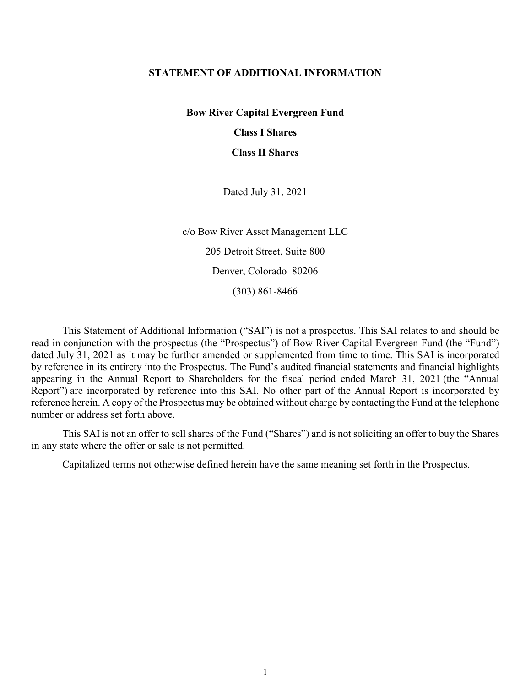## **STATEMENT OF ADDITIONAL INFORMATION**

**Bow River Capital Evergreen Fund**

**Class I Shares**

**Class II Shares**

Dated July 31, 2021

c/o Bow River Asset Management LLC 205 Detroit Street, Suite 800 Denver, Colorado 80206 (303) 861-8466

This Statement of Additional Information ("SAI") is not a prospectus. This SAI relates to and should be read in conjunction with the prospectus (the "Prospectus") of Bow River Capital Evergreen Fund (the "Fund") dated July 31, 2021 as it may be further amended or supplemented from time to time. This SAI is incorporated by reference in its entirety into the Prospectus. The Fund's audited financial statements and financial highlights appearing in the Annual Report to Shareholders for the fiscal period ended March 31, 2021 (the "Annual Report") are incorporated by reference into this SAI. No other part of the Annual Report is incorporated by reference herein. A copy of the Prospectus may be obtained without charge by contacting the Fund at the telephone number or address set forth above.

This SAI is not an offer to sell shares of the Fund ("Shares") and is not soliciting an offer to buy the Shares in any state where the offer or sale is not permitted.

Capitalized terms not otherwise defined herein have the same meaning set forth in the Prospectus.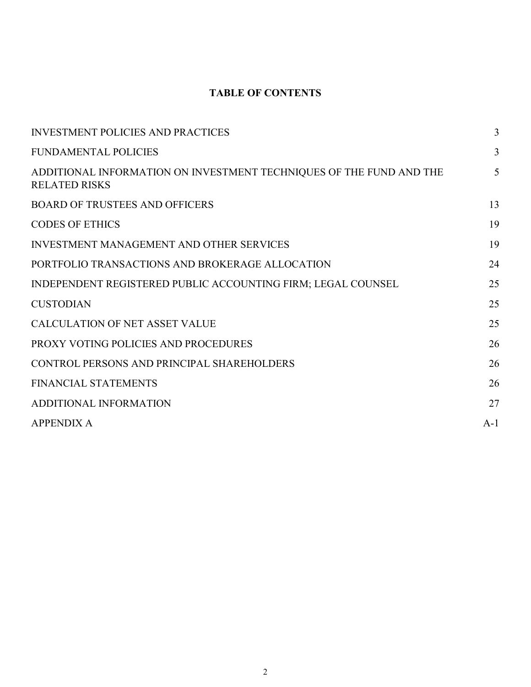# **TABLE OF CONTENTS**

| <b>INVESTMENT POLICIES AND PRACTICES</b>                                                    | 3     |
|---------------------------------------------------------------------------------------------|-------|
| <b>FUNDAMENTAL POLICIES</b>                                                                 | 3     |
| ADDITIONAL INFORMATION ON INVESTMENT TECHNIQUES OF THE FUND AND THE<br><b>RELATED RISKS</b> | 5     |
| <b>BOARD OF TRUSTEES AND OFFICERS</b>                                                       | 13    |
| <b>CODES OF ETHICS</b>                                                                      | 19    |
| <b>INVESTMENT MANAGEMENT AND OTHER SERVICES</b>                                             | 19    |
| PORTFOLIO TRANSACTIONS AND BROKERAGE ALLOCATION                                             | 24    |
| INDEPENDENT REGISTERED PUBLIC ACCOUNTING FIRM; LEGAL COUNSEL                                | 25    |
| <b>CUSTODIAN</b>                                                                            | 25    |
| <b>CALCULATION OF NET ASSET VALUE</b>                                                       | 25    |
| PROXY VOTING POLICIES AND PROCEDURES                                                        | 26    |
| CONTROL PERSONS AND PRINCIPAL SHAREHOLDERS                                                  | 26    |
| <b>FINANCIAL STATEMENTS</b>                                                                 | 26    |
| <b>ADDITIONAL INFORMATION</b>                                                               | 27    |
| <b>APPENDIX A</b>                                                                           | $A-1$ |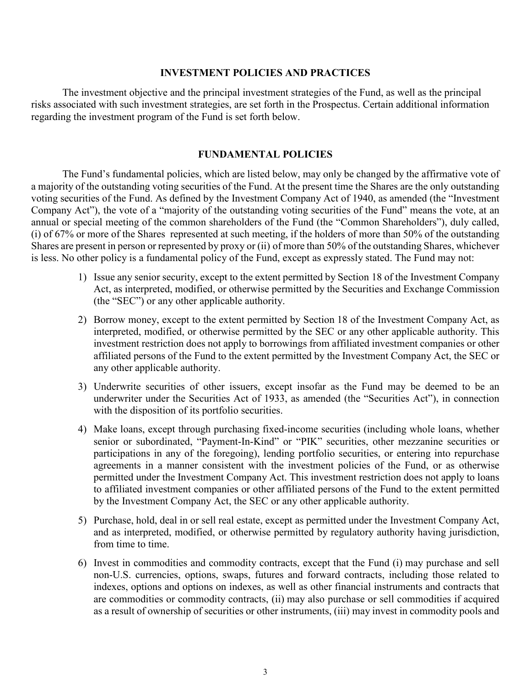# **INVESTMENT POLICIES AND PRACTICES**

The investment objective and the principal investment strategies of the Fund, as well as the principal risks associated with such investment strategies, are set forth in the Prospectus. Certain additional information regarding the investment program of the Fund is set forth below.

# **FUNDAMENTAL POLICIES**

The Fund's fundamental policies, which are listed below, may only be changed by the affirmative vote of a majority of the outstanding voting securities of the Fund. At the present time the Shares are the only outstanding voting securities of the Fund. As defined by the Investment Company Act of 1940, as amended (the "Investment Company Act"), the vote of a "majority of the outstanding voting securities of the Fund" means the vote, at an annual or special meeting of the common shareholders of the Fund (the "Common Shareholders"), duly called, (i) of 67% or more of the Shares represented at such meeting, if the holders of more than 50% of the outstanding Shares are present in person or represented by proxy or (ii) of more than 50% of the outstanding Shares, whichever is less. No other policy is a fundamental policy of the Fund, except as expressly stated. The Fund may not:

- 1) Issue any senior security, except to the extent permitted by Section 18 of the Investment Company Act, as interpreted, modified, or otherwise permitted by the Securities and Exchange Commission (the "SEC") or any other applicable authority.
- 2) Borrow money, except to the extent permitted by Section 18 of the Investment Company Act, as interpreted, modified, or otherwise permitted by the SEC or any other applicable authority. This investment restriction does not apply to borrowings from affiliated investment companies or other affiliated persons of the Fund to the extent permitted by the Investment Company Act, the SEC or any other applicable authority.
- 3) Underwrite securities of other issuers, except insofar as the Fund may be deemed to be an underwriter under the Securities Act of 1933, as amended (the "Securities Act"), in connection with the disposition of its portfolio securities.
- 4) Make loans, except through purchasing fixed-income securities (including whole loans, whether senior or subordinated, "Payment-In-Kind" or "PIK" securities, other mezzanine securities or participations in any of the foregoing), lending portfolio securities, or entering into repurchase agreements in a manner consistent with the investment policies of the Fund, or as otherwise permitted under the Investment Company Act. This investment restriction does not apply to loans to affiliated investment companies or other affiliated persons of the Fund to the extent permitted by the Investment Company Act, the SEC or any other applicable authority.
- 5) Purchase, hold, deal in or sell real estate, except as permitted under the Investment Company Act, and as interpreted, modified, or otherwise permitted by regulatory authority having jurisdiction, from time to time.
- 6) Invest in commodities and commodity contracts, except that the Fund (i) may purchase and sell non-U.S. currencies, options, swaps, futures and forward contracts, including those related to indexes, options and options on indexes, as well as other financial instruments and contracts that are commodities or commodity contracts, (ii) may also purchase or sell commodities if acquired as a result of ownership of securities or other instruments, (iii) may invest in commodity pools and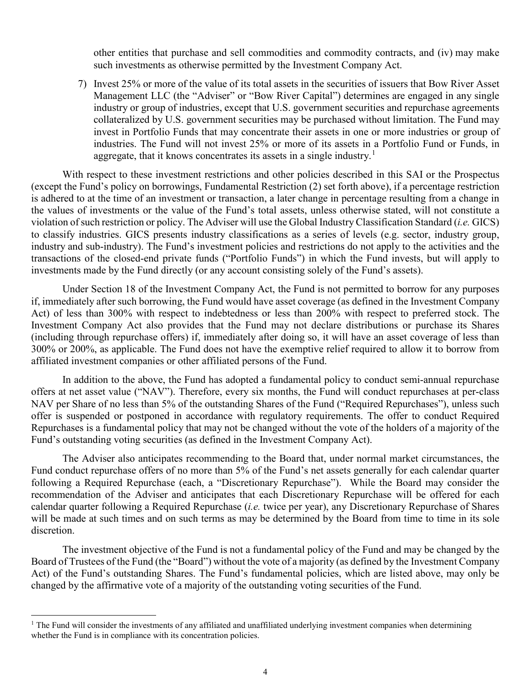other entities that purchase and sell commodities and commodity contracts, and (iv) may make such investments as otherwise permitted by the Investment Company Act.

7) Invest 25% or more of the value of its total assets in the securities of issuers that Bow River Asset Management LLC (the "Adviser" or "Bow River Capital") determines are engaged in any single industry or group of industries, except that U.S. government securities and repurchase agreements collateralized by U.S. government securities may be purchased without limitation. The Fund may invest in Portfolio Funds that may concentrate their assets in one or more industries or group of industries. The Fund will not invest 25% or more of its assets in a Portfolio Fund or Funds, in aggregate, that it knows concentrates its assets in a single industry.<sup>[1](#page-3-0)</sup>

With respect to these investment restrictions and other policies described in this SAI or the Prospectus (except the Fund's policy on borrowings, Fundamental Restriction (2) set forth above), if a percentage restriction is adhered to at the time of an investment or transaction, a later change in percentage resulting from a change in the values of investments or the value of the Fund's total assets, unless otherwise stated, will not constitute a violation of such restriction or policy. The Adviser will use the Global Industry Classification Standard (*i.e.* GICS) to classify industries. GICS presents industry classifications as a series of levels (e.g. sector, industry group, industry and sub-industry). The Fund's investment policies and restrictions do not apply to the activities and the transactions of the closed-end private funds ("Portfolio Funds") in which the Fund invests, but will apply to investments made by the Fund directly (or any account consisting solely of the Fund's assets).

Under Section 18 of the Investment Company Act, the Fund is not permitted to borrow for any purposes if, immediately after such borrowing, the Fund would have asset coverage (as defined in the Investment Company Act) of less than 300% with respect to indebtedness or less than 200% with respect to preferred stock. The Investment Company Act also provides that the Fund may not declare distributions or purchase its Shares (including through repurchase offers) if, immediately after doing so, it will have an asset coverage of less than 300% or 200%, as applicable. The Fund does not have the exemptive relief required to allow it to borrow from affiliated investment companies or other affiliated persons of the Fund.

In addition to the above, the Fund has adopted a fundamental policy to conduct semi-annual repurchase offers at net asset value ("NAV"). Therefore, every six months, the Fund will conduct repurchases at per-class NAV per Share of no less than 5% of the outstanding Shares of the Fund ("Required Repurchases"), unless such offer is suspended or postponed in accordance with regulatory requirements. The offer to conduct Required Repurchases is a fundamental policy that may not be changed without the vote of the holders of a majority of the Fund's outstanding voting securities (as defined in the Investment Company Act).

The Adviser also anticipates recommending to the Board that, under normal market circumstances, the Fund conduct repurchase offers of no more than 5% of the Fund's net assets generally for each calendar quarter following a Required Repurchase (each, a "Discretionary Repurchase"). While the Board may consider the recommendation of the Adviser and anticipates that each Discretionary Repurchase will be offered for each calendar quarter following a Required Repurchase (*i.e.* twice per year), any Discretionary Repurchase of Shares will be made at such times and on such terms as may be determined by the Board from time to time in its sole discretion.

The investment objective of the Fund is not a fundamental policy of the Fund and may be changed by the Board of Trustees of the Fund (the "Board") without the vote of a majority (as defined by the Investment Company Act) of the Fund's outstanding Shares. The Fund's fundamental policies, which are listed above, may only be changed by the affirmative vote of a majority of the outstanding voting securities of the Fund.

<span id="page-3-0"></span> $1$  The Fund will consider the investments of any affiliated and unaffiliated underlying investment companies when determining whether the Fund is in compliance with its concentration policies.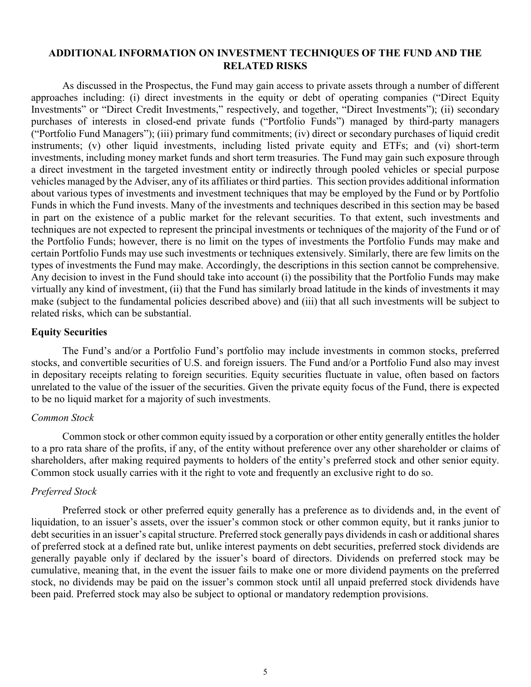# **ADDITIONAL INFORMATION ON INVESTMENT TECHNIQUES OF THE FUND AND THE RELATED RISKS**

As discussed in the Prospectus, the Fund may gain access to private assets through a number of different approaches including: (i) direct investments in the equity or debt of operating companies ("Direct Equity Investments" or "Direct Credit Investments," respectively, and together, "Direct Investments"); (ii) secondary purchases of interests in closed-end private funds ("Portfolio Funds") managed by third-party managers ("Portfolio Fund Managers"); (iii) primary fund commitments; (iv) direct or secondary purchases of liquid credit instruments; (v) other liquid investments, including listed private equity and ETFs; and (vi) short-term investments, including money market funds and short term treasuries. The Fund may gain such exposure through a direct investment in the targeted investment entity or indirectly through pooled vehicles or special purpose vehicles managed by the Adviser, any of its affiliates or third parties. This section provides additional information about various types of investments and investment techniques that may be employed by the Fund or by Portfolio Funds in which the Fund invests. Many of the investments and techniques described in this section may be based in part on the existence of a public market for the relevant securities. To that extent, such investments and techniques are not expected to represent the principal investments or techniques of the majority of the Fund or of the Portfolio Funds; however, there is no limit on the types of investments the Portfolio Funds may make and certain Portfolio Funds may use such investments or techniques extensively. Similarly, there are few limits on the types of investments the Fund may make. Accordingly, the descriptions in this section cannot be comprehensive. Any decision to invest in the Fund should take into account (i) the possibility that the Portfolio Funds may make virtually any kind of investment, (ii) that the Fund has similarly broad latitude in the kinds of investments it may make (subject to the fundamental policies described above) and (iii) that all such investments will be subject to related risks, which can be substantial.

## **Equity Securities**

The Fund's and/or a Portfolio Fund's portfolio may include investments in common stocks, preferred stocks, and convertible securities of U.S. and foreign issuers. The Fund and/or a Portfolio Fund also may invest in depositary receipts relating to foreign securities. Equity securities fluctuate in value, often based on factors unrelated to the value of the issuer of the securities. Given the private equity focus of the Fund, there is expected to be no liquid market for a majority of such investments.

### *Common Stock*

Common stock or other common equity issued by a corporation or other entity generally entitles the holder to a pro rata share of the profits, if any, of the entity without preference over any other shareholder or claims of shareholders, after making required payments to holders of the entity's preferred stock and other senior equity. Common stock usually carries with it the right to vote and frequently an exclusive right to do so.

### *Preferred Stock*

Preferred stock or other preferred equity generally has a preference as to dividends and, in the event of liquidation, to an issuer's assets, over the issuer's common stock or other common equity, but it ranks junior to debt securities in an issuer's capital structure. Preferred stock generally pays dividends in cash or additional shares of preferred stock at a defined rate but, unlike interest payments on debt securities, preferred stock dividends are generally payable only if declared by the issuer's board of directors. Dividends on preferred stock may be cumulative, meaning that, in the event the issuer fails to make one or more dividend payments on the preferred stock, no dividends may be paid on the issuer's common stock until all unpaid preferred stock dividends have been paid. Preferred stock may also be subject to optional or mandatory redemption provisions.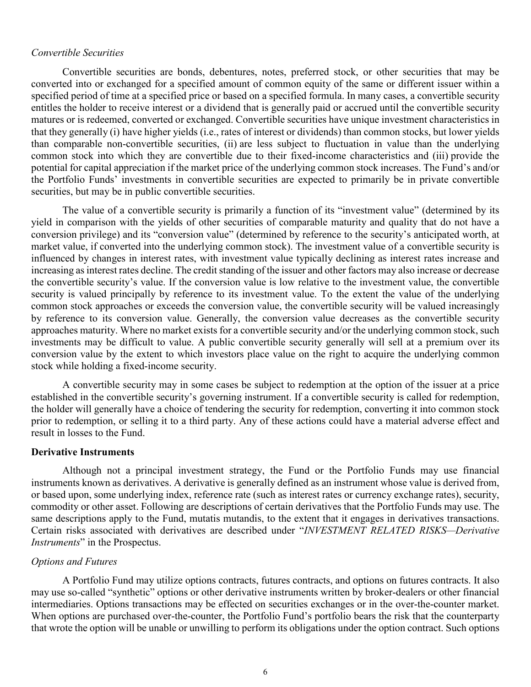## *Convertible Securities*

Convertible securities are bonds, debentures, notes, preferred stock, or other securities that may be converted into or exchanged for a specified amount of common equity of the same or different issuer within a specified period of time at a specified price or based on a specified formula. In many cases, a convertible security entitles the holder to receive interest or a dividend that is generally paid or accrued until the convertible security matures or is redeemed, converted or exchanged. Convertible securities have unique investment characteristics in that they generally (i) have higher yields (i.e., rates of interest or dividends) than common stocks, but lower yields than comparable non-convertible securities, (ii) are less subject to fluctuation in value than the underlying common stock into which they are convertible due to their fixed-income characteristics and (iii) provide the potential for capital appreciation if the market price of the underlying common stock increases. The Fund's and/or the Portfolio Funds' investments in convertible securities are expected to primarily be in private convertible securities, but may be in public convertible securities.

The value of a convertible security is primarily a function of its "investment value" (determined by its yield in comparison with the yields of other securities of comparable maturity and quality that do not have a conversion privilege) and its "conversion value" (determined by reference to the security's anticipated worth, at market value, if converted into the underlying common stock). The investment value of a convertible security is influenced by changes in interest rates, with investment value typically declining as interest rates increase and increasing as interest rates decline. The credit standing of the issuer and other factors may also increase or decrease the convertible security's value. If the conversion value is low relative to the investment value, the convertible security is valued principally by reference to its investment value. To the extent the value of the underlying common stock approaches or exceeds the conversion value, the convertible security will be valued increasingly by reference to its conversion value. Generally, the conversion value decreases as the convertible security approaches maturity. Where no market exists for a convertible security and/or the underlying common stock, such investments may be difficult to value. A public convertible security generally will sell at a premium over its conversion value by the extent to which investors place value on the right to acquire the underlying common stock while holding a fixed-income security.

A convertible security may in some cases be subject to redemption at the option of the issuer at a price established in the convertible security's governing instrument. If a convertible security is called for redemption, the holder will generally have a choice of tendering the security for redemption, converting it into common stock prior to redemption, or selling it to a third party. Any of these actions could have a material adverse effect and result in losses to the Fund.

## **Derivative Instruments**

Although not a principal investment strategy, the Fund or the Portfolio Funds may use financial instruments known as derivatives. A derivative is generally defined as an instrument whose value is derived from, or based upon, some underlying index, reference rate (such as interest rates or currency exchange rates), security, commodity or other asset. Following are descriptions of certain derivatives that the Portfolio Funds may use. The same descriptions apply to the Fund, mutatis mutandis, to the extent that it engages in derivatives transactions. Certain risks associated with derivatives are described under "*INVESTMENT RELATED RISKS—Derivative Instruments*" in the Prospectus.

## *Options and Futures*

A Portfolio Fund may utilize options contracts, futures contracts, and options on futures contracts. It also may use so-called "synthetic" options or other derivative instruments written by broker-dealers or other financial intermediaries. Options transactions may be effected on securities exchanges or in the over-the-counter market. When options are purchased over-the-counter, the Portfolio Fund's portfolio bears the risk that the counterparty that wrote the option will be unable or unwilling to perform its obligations under the option contract. Such options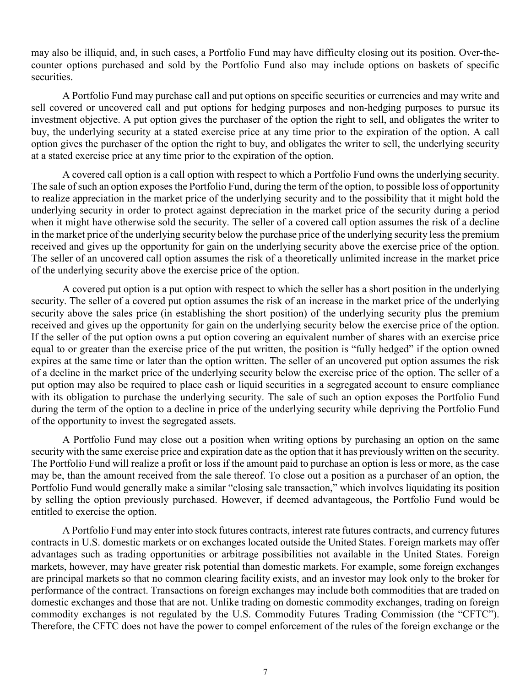may also be illiquid, and, in such cases, a Portfolio Fund may have difficulty closing out its position. Over-thecounter options purchased and sold by the Portfolio Fund also may include options on baskets of specific securities.

A Portfolio Fund may purchase call and put options on specific securities or currencies and may write and sell covered or uncovered call and put options for hedging purposes and non-hedging purposes to pursue its investment objective. A put option gives the purchaser of the option the right to sell, and obligates the writer to buy, the underlying security at a stated exercise price at any time prior to the expiration of the option. A call option gives the purchaser of the option the right to buy, and obligates the writer to sell, the underlying security at a stated exercise price at any time prior to the expiration of the option.

A covered call option is a call option with respect to which a Portfolio Fund owns the underlying security. The sale of such an option exposes the Portfolio Fund, during the term of the option, to possible loss of opportunity to realize appreciation in the market price of the underlying security and to the possibility that it might hold the underlying security in order to protect against depreciation in the market price of the security during a period when it might have otherwise sold the security. The seller of a covered call option assumes the risk of a decline in the market price of the underlying security below the purchase price of the underlying security less the premium received and gives up the opportunity for gain on the underlying security above the exercise price of the option. The seller of an uncovered call option assumes the risk of a theoretically unlimited increase in the market price of the underlying security above the exercise price of the option.

A covered put option is a put option with respect to which the seller has a short position in the underlying security. The seller of a covered put option assumes the risk of an increase in the market price of the underlying security above the sales price (in establishing the short position) of the underlying security plus the premium received and gives up the opportunity for gain on the underlying security below the exercise price of the option. If the seller of the put option owns a put option covering an equivalent number of shares with an exercise price equal to or greater than the exercise price of the put written, the position is "fully hedged" if the option owned expires at the same time or later than the option written. The seller of an uncovered put option assumes the risk of a decline in the market price of the underlying security below the exercise price of the option. The seller of a put option may also be required to place cash or liquid securities in a segregated account to ensure compliance with its obligation to purchase the underlying security. The sale of such an option exposes the Portfolio Fund during the term of the option to a decline in price of the underlying security while depriving the Portfolio Fund of the opportunity to invest the segregated assets.

A Portfolio Fund may close out a position when writing options by purchasing an option on the same security with the same exercise price and expiration date as the option that it has previously written on the security. The Portfolio Fund will realize a profit or loss if the amount paid to purchase an option is less or more, as the case may be, than the amount received from the sale thereof. To close out a position as a purchaser of an option, the Portfolio Fund would generally make a similar "closing sale transaction," which involves liquidating its position by selling the option previously purchased. However, if deemed advantageous, the Portfolio Fund would be entitled to exercise the option.

A Portfolio Fund may enter into stock futures contracts, interest rate futures contracts, and currency futures contracts in U.S. domestic markets or on exchanges located outside the United States. Foreign markets may offer advantages such as trading opportunities or arbitrage possibilities not available in the United States. Foreign markets, however, may have greater risk potential than domestic markets. For example, some foreign exchanges are principal markets so that no common clearing facility exists, and an investor may look only to the broker for performance of the contract. Transactions on foreign exchanges may include both commodities that are traded on domestic exchanges and those that are not. Unlike trading on domestic commodity exchanges, trading on foreign commodity exchanges is not regulated by the U.S. Commodity Futures Trading Commission (the "CFTC"). Therefore, the CFTC does not have the power to compel enforcement of the rules of the foreign exchange or the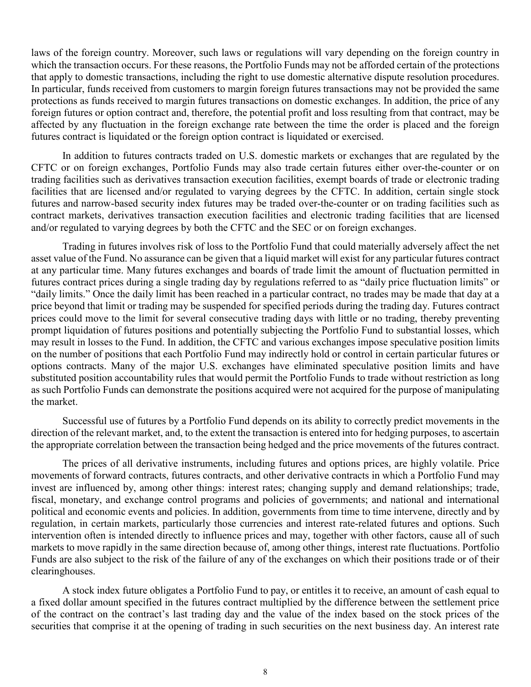laws of the foreign country. Moreover, such laws or regulations will vary depending on the foreign country in which the transaction occurs. For these reasons, the Portfolio Funds may not be afforded certain of the protections that apply to domestic transactions, including the right to use domestic alternative dispute resolution procedures. In particular, funds received from customers to margin foreign futures transactions may not be provided the same protections as funds received to margin futures transactions on domestic exchanges. In addition, the price of any foreign futures or option contract and, therefore, the potential profit and loss resulting from that contract, may be affected by any fluctuation in the foreign exchange rate between the time the order is placed and the foreign futures contract is liquidated or the foreign option contract is liquidated or exercised.

In addition to futures contracts traded on U.S. domestic markets or exchanges that are regulated by the CFTC or on foreign exchanges, Portfolio Funds may also trade certain futures either over-the-counter or on trading facilities such as derivatives transaction execution facilities, exempt boards of trade or electronic trading facilities that are licensed and/or regulated to varying degrees by the CFTC. In addition, certain single stock futures and narrow-based security index futures may be traded over-the-counter or on trading facilities such as contract markets, derivatives transaction execution facilities and electronic trading facilities that are licensed and/or regulated to varying degrees by both the CFTC and the SEC or on foreign exchanges.

Trading in futures involves risk of loss to the Portfolio Fund that could materially adversely affect the net asset value of the Fund. No assurance can be given that a liquid market will exist for any particular futures contract at any particular time. Many futures exchanges and boards of trade limit the amount of fluctuation permitted in futures contract prices during a single trading day by regulations referred to as "daily price fluctuation limits" or "daily limits." Once the daily limit has been reached in a particular contract, no trades may be made that day at a price beyond that limit or trading may be suspended for specified periods during the trading day. Futures contract prices could move to the limit for several consecutive trading days with little or no trading, thereby preventing prompt liquidation of futures positions and potentially subjecting the Portfolio Fund to substantial losses, which may result in losses to the Fund. In addition, the CFTC and various exchanges impose speculative position limits on the number of positions that each Portfolio Fund may indirectly hold or control in certain particular futures or options contracts. Many of the major U.S. exchanges have eliminated speculative position limits and have substituted position accountability rules that would permit the Portfolio Funds to trade without restriction as long as such Portfolio Funds can demonstrate the positions acquired were not acquired for the purpose of manipulating the market.

Successful use of futures by a Portfolio Fund depends on its ability to correctly predict movements in the direction of the relevant market, and, to the extent the transaction is entered into for hedging purposes, to ascertain the appropriate correlation between the transaction being hedged and the price movements of the futures contract.

The prices of all derivative instruments, including futures and options prices, are highly volatile. Price movements of forward contracts, futures contracts, and other derivative contracts in which a Portfolio Fund may invest are influenced by, among other things: interest rates; changing supply and demand relationships; trade, fiscal, monetary, and exchange control programs and policies of governments; and national and international political and economic events and policies. In addition, governments from time to time intervene, directly and by regulation, in certain markets, particularly those currencies and interest rate-related futures and options. Such intervention often is intended directly to influence prices and may, together with other factors, cause all of such markets to move rapidly in the same direction because of, among other things, interest rate fluctuations. Portfolio Funds are also subject to the risk of the failure of any of the exchanges on which their positions trade or of their clearinghouses.

A stock index future obligates a Portfolio Fund to pay, or entitles it to receive, an amount of cash equal to a fixed dollar amount specified in the futures contract multiplied by the difference between the settlement price of the contract on the contract's last trading day and the value of the index based on the stock prices of the securities that comprise it at the opening of trading in such securities on the next business day. An interest rate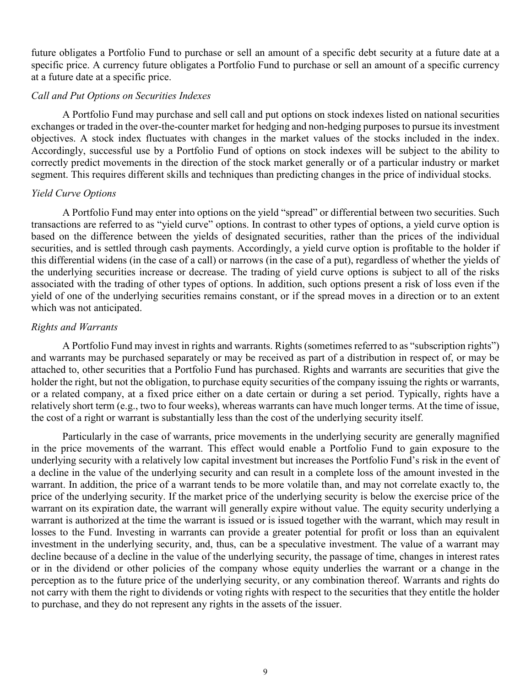future obligates a Portfolio Fund to purchase or sell an amount of a specific debt security at a future date at a specific price. A currency future obligates a Portfolio Fund to purchase or sell an amount of a specific currency at a future date at a specific price.

## *Call and Put Options on Securities Indexes*

A Portfolio Fund may purchase and sell call and put options on stock indexes listed on national securities exchanges or traded in the over-the-counter market for hedging and non-hedging purposes to pursue its investment objectives. A stock index fluctuates with changes in the market values of the stocks included in the index. Accordingly, successful use by a Portfolio Fund of options on stock indexes will be subject to the ability to correctly predict movements in the direction of the stock market generally or of a particular industry or market segment. This requires different skills and techniques than predicting changes in the price of individual stocks.

# *Yield Curve Options*

A Portfolio Fund may enter into options on the yield "spread" or differential between two securities. Such transactions are referred to as "yield curve" options. In contrast to other types of options, a yield curve option is based on the difference between the yields of designated securities, rather than the prices of the individual securities, and is settled through cash payments. Accordingly, a yield curve option is profitable to the holder if this differential widens (in the case of a call) or narrows (in the case of a put), regardless of whether the yields of the underlying securities increase or decrease. The trading of yield curve options is subject to all of the risks associated with the trading of other types of options. In addition, such options present a risk of loss even if the yield of one of the underlying securities remains constant, or if the spread moves in a direction or to an extent which was not anticipated.

# *Rights and Warrants*

A Portfolio Fund may invest in rights and warrants. Rights (sometimes referred to as "subscription rights") and warrants may be purchased separately or may be received as part of a distribution in respect of, or may be attached to, other securities that a Portfolio Fund has purchased. Rights and warrants are securities that give the holder the right, but not the obligation, to purchase equity securities of the company issuing the rights or warrants, or a related company, at a fixed price either on a date certain or during a set period. Typically, rights have a relatively short term (e.g., two to four weeks), whereas warrants can have much longer terms. At the time of issue, the cost of a right or warrant is substantially less than the cost of the underlying security itself.

Particularly in the case of warrants, price movements in the underlying security are generally magnified in the price movements of the warrant. This effect would enable a Portfolio Fund to gain exposure to the underlying security with a relatively low capital investment but increases the Portfolio Fund's risk in the event of a decline in the value of the underlying security and can result in a complete loss of the amount invested in the warrant. In addition, the price of a warrant tends to be more volatile than, and may not correlate exactly to, the price of the underlying security. If the market price of the underlying security is below the exercise price of the warrant on its expiration date, the warrant will generally expire without value. The equity security underlying a warrant is authorized at the time the warrant is issued or is issued together with the warrant, which may result in losses to the Fund. Investing in warrants can provide a greater potential for profit or loss than an equivalent investment in the underlying security, and, thus, can be a speculative investment. The value of a warrant may decline because of a decline in the value of the underlying security, the passage of time, changes in interest rates or in the dividend or other policies of the company whose equity underlies the warrant or a change in the perception as to the future price of the underlying security, or any combination thereof. Warrants and rights do not carry with them the right to dividends or voting rights with respect to the securities that they entitle the holder to purchase, and they do not represent any rights in the assets of the issuer.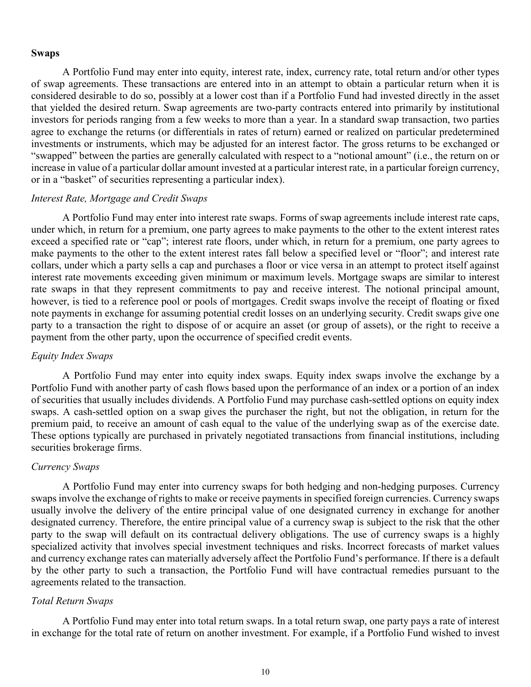### **Swaps**

A Portfolio Fund may enter into equity, interest rate, index, currency rate, total return and/or other types of swap agreements. These transactions are entered into in an attempt to obtain a particular return when it is considered desirable to do so, possibly at a lower cost than if a Portfolio Fund had invested directly in the asset that yielded the desired return. Swap agreements are two-party contracts entered into primarily by institutional investors for periods ranging from a few weeks to more than a year. In a standard swap transaction, two parties agree to exchange the returns (or differentials in rates of return) earned or realized on particular predetermined investments or instruments, which may be adjusted for an interest factor. The gross returns to be exchanged or "swapped" between the parties are generally calculated with respect to a "notional amount" (i.e., the return on or increase in value of a particular dollar amount invested at a particular interest rate, in a particular foreign currency, or in a "basket" of securities representing a particular index).

# *Interest Rate, Mortgage and Credit Swaps*

A Portfolio Fund may enter into interest rate swaps. Forms of swap agreements include interest rate caps, under which, in return for a premium, one party agrees to make payments to the other to the extent interest rates exceed a specified rate or "cap"; interest rate floors, under which, in return for a premium, one party agrees to make payments to the other to the extent interest rates fall below a specified level or "floor"; and interest rate collars, under which a party sells a cap and purchases a floor or vice versa in an attempt to protect itself against interest rate movements exceeding given minimum or maximum levels. Mortgage swaps are similar to interest rate swaps in that they represent commitments to pay and receive interest. The notional principal amount, however, is tied to a reference pool or pools of mortgages. Credit swaps involve the receipt of floating or fixed note payments in exchange for assuming potential credit losses on an underlying security. Credit swaps give one party to a transaction the right to dispose of or acquire an asset (or group of assets), or the right to receive a payment from the other party, upon the occurrence of specified credit events.

# *Equity Index Swaps*

A Portfolio Fund may enter into equity index swaps. Equity index swaps involve the exchange by a Portfolio Fund with another party of cash flows based upon the performance of an index or a portion of an index of securities that usually includes dividends. A Portfolio Fund may purchase cash-settled options on equity index swaps. A cash-settled option on a swap gives the purchaser the right, but not the obligation, in return for the premium paid, to receive an amount of cash equal to the value of the underlying swap as of the exercise date. These options typically are purchased in privately negotiated transactions from financial institutions, including securities brokerage firms.

#### *Currency Swaps*

A Portfolio Fund may enter into currency swaps for both hedging and non-hedging purposes. Currency swaps involve the exchange of rights to make or receive payments in specified foreign currencies. Currency swaps usually involve the delivery of the entire principal value of one designated currency in exchange for another designated currency. Therefore, the entire principal value of a currency swap is subject to the risk that the other party to the swap will default on its contractual delivery obligations. The use of currency swaps is a highly specialized activity that involves special investment techniques and risks. Incorrect forecasts of market values and currency exchange rates can materially adversely affect the Portfolio Fund's performance. If there is a default by the other party to such a transaction, the Portfolio Fund will have contractual remedies pursuant to the agreements related to the transaction.

# *Total Return Swaps*

A Portfolio Fund may enter into total return swaps. In a total return swap, one party pays a rate of interest in exchange for the total rate of return on another investment. For example, if a Portfolio Fund wished to invest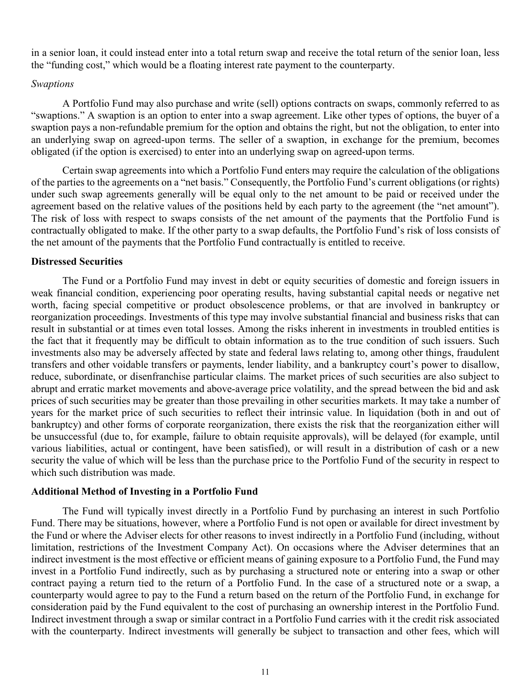in a senior loan, it could instead enter into a total return swap and receive the total return of the senior loan, less the "funding cost," which would be a floating interest rate payment to the counterparty.

## *Swaptions*

A Portfolio Fund may also purchase and write (sell) options contracts on swaps, commonly referred to as "swaptions." A swaption is an option to enter into a swap agreement. Like other types of options, the buyer of a swaption pays a non-refundable premium for the option and obtains the right, but not the obligation, to enter into an underlying swap on agreed-upon terms. The seller of a swaption, in exchange for the premium, becomes obligated (if the option is exercised) to enter into an underlying swap on agreed-upon terms.

Certain swap agreements into which a Portfolio Fund enters may require the calculation of the obligations of the parties to the agreements on a "net basis." Consequently, the Portfolio Fund's current obligations (or rights) under such swap agreements generally will be equal only to the net amount to be paid or received under the agreement based on the relative values of the positions held by each party to the agreement (the "net amount"). The risk of loss with respect to swaps consists of the net amount of the payments that the Portfolio Fund is contractually obligated to make. If the other party to a swap defaults, the Portfolio Fund's risk of loss consists of the net amount of the payments that the Portfolio Fund contractually is entitled to receive.

## **Distressed Securities**

The Fund or a Portfolio Fund may invest in debt or equity securities of domestic and foreign issuers in weak financial condition, experiencing poor operating results, having substantial capital needs or negative net worth, facing special competitive or product obsolescence problems, or that are involved in bankruptcy or reorganization proceedings. Investments of this type may involve substantial financial and business risks that can result in substantial or at times even total losses. Among the risks inherent in investments in troubled entities is the fact that it frequently may be difficult to obtain information as to the true condition of such issuers. Such investments also may be adversely affected by state and federal laws relating to, among other things, fraudulent transfers and other voidable transfers or payments, lender liability, and a bankruptcy court's power to disallow, reduce, subordinate, or disenfranchise particular claims. The market prices of such securities are also subject to abrupt and erratic market movements and above-average price volatility, and the spread between the bid and ask prices of such securities may be greater than those prevailing in other securities markets. It may take a number of years for the market price of such securities to reflect their intrinsic value. In liquidation (both in and out of bankruptcy) and other forms of corporate reorganization, there exists the risk that the reorganization either will be unsuccessful (due to, for example, failure to obtain requisite approvals), will be delayed (for example, until various liabilities, actual or contingent, have been satisfied), or will result in a distribution of cash or a new security the value of which will be less than the purchase price to the Portfolio Fund of the security in respect to which such distribution was made.

# **Additional Method of Investing in a Portfolio Fund**

The Fund will typically invest directly in a Portfolio Fund by purchasing an interest in such Portfolio Fund. There may be situations, however, where a Portfolio Fund is not open or available for direct investment by the Fund or where the Adviser elects for other reasons to invest indirectly in a Portfolio Fund (including, without limitation, restrictions of the Investment Company Act). On occasions where the Adviser determines that an indirect investment is the most effective or efficient means of gaining exposure to a Portfolio Fund, the Fund may invest in a Portfolio Fund indirectly, such as by purchasing a structured note or entering into a swap or other contract paying a return tied to the return of a Portfolio Fund. In the case of a structured note or a swap, a counterparty would agree to pay to the Fund a return based on the return of the Portfolio Fund, in exchange for consideration paid by the Fund equivalent to the cost of purchasing an ownership interest in the Portfolio Fund. Indirect investment through a swap or similar contract in a Portfolio Fund carries with it the credit risk associated with the counterparty. Indirect investments will generally be subject to transaction and other fees, which will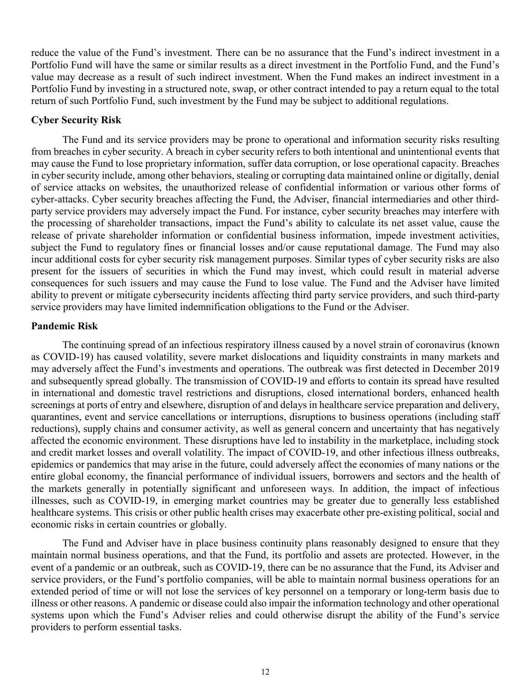reduce the value of the Fund's investment. There can be no assurance that the Fund's indirect investment in a Portfolio Fund will have the same or similar results as a direct investment in the Portfolio Fund, and the Fund's value may decrease as a result of such indirect investment. When the Fund makes an indirect investment in a Portfolio Fund by investing in a structured note, swap, or other contract intended to pay a return equal to the total return of such Portfolio Fund, such investment by the Fund may be subject to additional regulations.

# **Cyber Security Risk**

The Fund and its service providers may be prone to operational and information security risks resulting from breaches in cyber security. A breach in cyber security refers to both intentional and unintentional events that may cause the Fund to lose proprietary information, suffer data corruption, or lose operational capacity. Breaches in cyber security include, among other behaviors, stealing or corrupting data maintained online or digitally, denial of service attacks on websites, the unauthorized release of confidential information or various other forms of cyber-attacks. Cyber security breaches affecting the Fund, the Adviser, financial intermediaries and other thirdparty service providers may adversely impact the Fund. For instance, cyber security breaches may interfere with the processing of shareholder transactions, impact the Fund's ability to calculate its net asset value, cause the release of private shareholder information or confidential business information, impede investment activities, subject the Fund to regulatory fines or financial losses and/or cause reputational damage. The Fund may also incur additional costs for cyber security risk management purposes. Similar types of cyber security risks are also present for the issuers of securities in which the Fund may invest, which could result in material adverse consequences for such issuers and may cause the Fund to lose value. The Fund and the Adviser have limited ability to prevent or mitigate cybersecurity incidents affecting third party service providers, and such third-party service providers may have limited indemnification obligations to the Fund or the Adviser.

## **Pandemic Risk**

The continuing spread of an infectious respiratory illness caused by a novel strain of coronavirus (known as COVID-19) has caused volatility, severe market dislocations and liquidity constraints in many markets and may adversely affect the Fund's investments and operations. The outbreak was first detected in December 2019 and subsequently spread globally. The transmission of COVID-19 and efforts to contain its spread have resulted in international and domestic travel restrictions and disruptions, closed international borders, enhanced health screenings at ports of entry and elsewhere, disruption of and delays in healthcare service preparation and delivery, quarantines, event and service cancellations or interruptions, disruptions to business operations (including staff reductions), supply chains and consumer activity, as well as general concern and uncertainty that has negatively affected the economic environment. These disruptions have led to instability in the marketplace, including stock and credit market losses and overall volatility. The impact of COVID-19, and other infectious illness outbreaks, epidemics or pandemics that may arise in the future, could adversely affect the economies of many nations or the entire global economy, the financial performance of individual issuers, borrowers and sectors and the health of the markets generally in potentially significant and unforeseen ways. In addition, the impact of infectious illnesses, such as COVID-19, in emerging market countries may be greater due to generally less established healthcare systems. This crisis or other public health crises may exacerbate other pre-existing political, social and economic risks in certain countries or globally.

The Fund and Adviser have in place business continuity plans reasonably designed to ensure that they maintain normal business operations, and that the Fund, its portfolio and assets are protected. However, in the event of a pandemic or an outbreak, such as COVID-19, there can be no assurance that the Fund, its Adviser and service providers, or the Fund's portfolio companies, will be able to maintain normal business operations for an extended period of time or will not lose the services of key personnel on a temporary or long-term basis due to illness or other reasons. A pandemic or disease could also impair the information technology and other operational systems upon which the Fund's Adviser relies and could otherwise disrupt the ability of the Fund's service providers to perform essential tasks.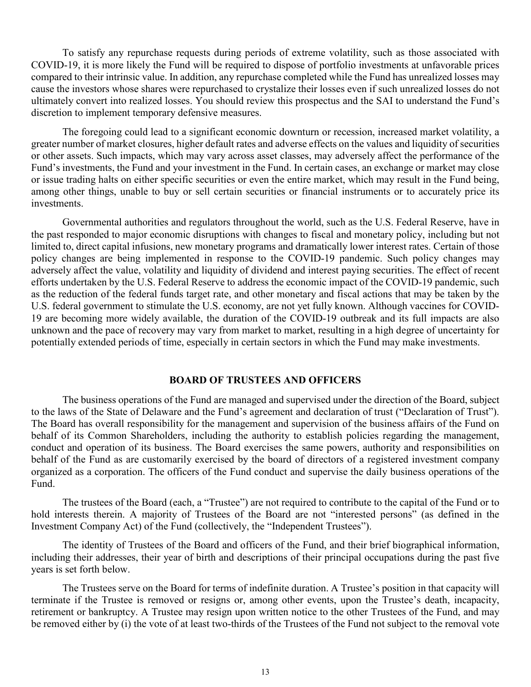To satisfy any repurchase requests during periods of extreme volatility, such as those associated with COVID-19, it is more likely the Fund will be required to dispose of portfolio investments at unfavorable prices compared to their intrinsic value. In addition, any repurchase completed while the Fund has unrealized losses may cause the investors whose shares were repurchased to crystalize their losses even if such unrealized losses do not ultimately convert into realized losses. You should review this prospectus and the SAI to understand the Fund's discretion to implement temporary defensive measures.

The foregoing could lead to a significant economic downturn or recession, increased market volatility, a greater number of market closures, higher default rates and adverse effects on the values and liquidity of securities or other assets. Such impacts, which may vary across asset classes, may adversely affect the performance of the Fund's investments, the Fund and your investment in the Fund. In certain cases, an exchange or market may close or issue trading halts on either specific securities or even the entire market, which may result in the Fund being, among other things, unable to buy or sell certain securities or financial instruments or to accurately price its investments.

Governmental authorities and regulators throughout the world, such as the U.S. Federal Reserve, have in the past responded to major economic disruptions with changes to fiscal and monetary policy, including but not limited to, direct capital infusions, new monetary programs and dramatically lower interest rates. Certain of those policy changes are being implemented in response to the COVID-19 pandemic. Such policy changes may adversely affect the value, volatility and liquidity of dividend and interest paying securities. The effect of recent efforts undertaken by the U.S. Federal Reserve to address the economic impact of the COVID-19 pandemic, such as the reduction of the federal funds target rate, and other monetary and fiscal actions that may be taken by the U.S. federal government to stimulate the U.S. economy, are not yet fully known. Although vaccines for COVID-19 are becoming more widely available, the duration of the COVID-19 outbreak and its full impacts are also unknown and the pace of recovery may vary from market to market, resulting in a high degree of uncertainty for potentially extended periods of time, especially in certain sectors in which the Fund may make investments.

### **BOARD OF TRUSTEES AND OFFICERS**

The business operations of the Fund are managed and supervised under the direction of the Board, subject to the laws of the State of Delaware and the Fund's agreement and declaration of trust ("Declaration of Trust"). The Board has overall responsibility for the management and supervision of the business affairs of the Fund on behalf of its Common Shareholders, including the authority to establish policies regarding the management, conduct and operation of its business. The Board exercises the same powers, authority and responsibilities on behalf of the Fund as are customarily exercised by the board of directors of a registered investment company organized as a corporation. The officers of the Fund conduct and supervise the daily business operations of the Fund.

The trustees of the Board (each, a "Trustee") are not required to contribute to the capital of the Fund or to hold interests therein. A majority of Trustees of the Board are not "interested persons" (as defined in the Investment Company Act) of the Fund (collectively, the "Independent Trustees").

The identity of Trustees of the Board and officers of the Fund, and their brief biographical information, including their addresses, their year of birth and descriptions of their principal occupations during the past five years is set forth below.

The Trustees serve on the Board for terms of indefinite duration. A Trustee's position in that capacity will terminate if the Trustee is removed or resigns or, among other events, upon the Trustee's death, incapacity, retirement or bankruptcy. A Trustee may resign upon written notice to the other Trustees of the Fund, and may be removed either by (i) the vote of at least two-thirds of the Trustees of the Fund not subject to the removal vote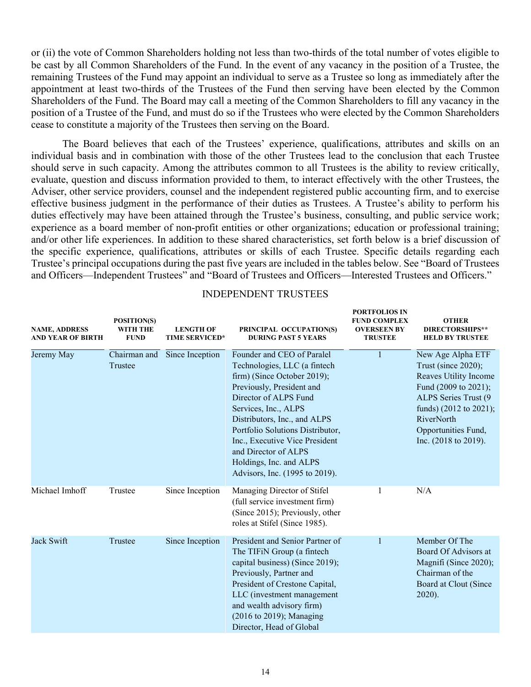or (ii) the vote of Common Shareholders holding not less than two-thirds of the total number of votes eligible to be cast by all Common Shareholders of the Fund. In the event of any vacancy in the position of a Trustee, the remaining Trustees of the Fund may appoint an individual to serve as a Trustee so long as immediately after the appointment at least two-thirds of the Trustees of the Fund then serving have been elected by the Common Shareholders of the Fund. The Board may call a meeting of the Common Shareholders to fill any vacancy in the position of a Trustee of the Fund, and must do so if the Trustees who were elected by the Common Shareholders cease to constitute a majority of the Trustees then serving on the Board.

The Board believes that each of the Trustees' experience, qualifications, attributes and skills on an individual basis and in combination with those of the other Trustees lead to the conclusion that each Trustee should serve in such capacity. Among the attributes common to all Trustees is the ability to review critically, evaluate, question and discuss information provided to them, to interact effectively with the other Trustees, the Adviser, other service providers, counsel and the independent registered public accounting firm, and to exercise effective business judgment in the performance of their duties as Trustees. A Trustee's ability to perform his duties effectively may have been attained through the Trustee's business, consulting, and public service work; experience as a board member of non-profit entities or other organizations; education or professional training; and/or other life experiences. In addition to these shared characteristics, set forth below is a brief discussion of the specific experience, qualifications, attributes or skills of each Trustee. Specific details regarding each Trustee's principal occupations during the past five years are included in the tables below. See "Board of Trustees and Officers—Independent Trustees" and "Board of Trustees and Officers—Interested Trustees and Officers."

| <b>NAME, ADDRESS</b><br><b>AND YEAR OF BIRTH</b> | POSITION(S)<br><b>WITH THE</b><br><b>FUND</b> | <b>LENGTH OF</b><br><b>TIME SERVICED*</b> | PRINCIPAL OCCUPATION(S)<br><b>DURING PAST 5 YEARS</b>                                                                                                                                                                                                                                                                                                              | <b>FUND COMPLEX</b><br><b>OVERSEEN BY</b><br><b>TRUSTEE</b> | <b>OTHER</b><br>DIRECTORSHIPS**<br><b>HELD BY TRUSTEE</b>                                                                                                                                                            |
|--------------------------------------------------|-----------------------------------------------|-------------------------------------------|--------------------------------------------------------------------------------------------------------------------------------------------------------------------------------------------------------------------------------------------------------------------------------------------------------------------------------------------------------------------|-------------------------------------------------------------|----------------------------------------------------------------------------------------------------------------------------------------------------------------------------------------------------------------------|
| Jeremy May                                       | Chairman and<br>Trustee                       | Since Inception                           | Founder and CEO of Paralel<br>Technologies, LLC (a fintech<br>firm) (Since October 2019);<br>Previously, President and<br>Director of ALPS Fund<br>Services, Inc., ALPS<br>Distributors, Inc., and ALPS<br>Portfolio Solutions Distributor,<br>Inc., Executive Vice President<br>and Director of ALPS<br>Holdings, Inc. and ALPS<br>Advisors, Inc. (1995 to 2019). | 1                                                           | New Age Alpha ETF<br>Trust (since 2020);<br>Reaves Utility Income<br>Fund (2009 to 2021);<br>ALPS Series Trust (9<br>funds) (2012 to 2021);<br>RiverNorth<br>Opportunities Fund,<br>Inc. $(2018 \text{ to } 2019)$ . |
| Michael Imhoff                                   | Trustee                                       | Since Inception                           | Managing Director of Stifel<br>(full service investment firm)<br>(Since 2015); Previously, other<br>roles at Stifel (Since 1985).                                                                                                                                                                                                                                  | 1                                                           | N/A                                                                                                                                                                                                                  |
| Jack Swift                                       | Trustee                                       | Since Inception                           | President and Senior Partner of<br>The TIFiN Group (a fintech<br>capital business) (Since 2019);<br>Previously, Partner and<br>President of Crestone Capital,<br>LLC (investment management<br>and wealth advisory firm)<br>(2016 to 2019); Managing<br>Director, Head of Global                                                                                   | 1                                                           | Member Of The<br>Board Of Advisors at<br>Magnifi (Since 2020);<br>Chairman of the<br>Board at Clout (Since<br>2020).                                                                                                 |

### INDEPENDENT TRUSTEES

**PORTFOLIOS IN**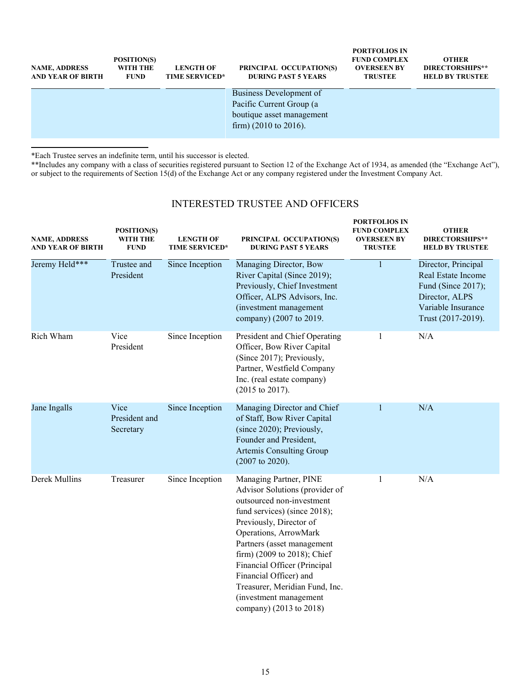| <b>NAME, ADDRESS</b><br><b>AND YEAR OF BIRTH</b> | POSITION(S)<br>WITH THE<br><b>FUND</b> | <b>LENGTH OF</b><br><b>TIME SERVICED*</b> | PRINCIPAL OCCUPATION(S)<br><b>DURING PAST 5 YEARS</b>                                                                 | <b>PORTFOLIOS IN</b><br><b>FUND COMPLEX</b><br><b>OVERSEEN BY</b><br><b>TRUSTEE</b> | <b>OTHER</b><br>DIRECTORSHIPS**<br><b>HELD BY TRUSTEE</b> |
|--------------------------------------------------|----------------------------------------|-------------------------------------------|-----------------------------------------------------------------------------------------------------------------------|-------------------------------------------------------------------------------------|-----------------------------------------------------------|
|                                                  |                                        |                                           | Business Development of<br>Pacific Current Group (a<br>boutique asset management<br>firm) $(2010 \text{ to } 2016)$ . |                                                                                     |                                                           |

\*Each Trustee serves an indefinite term, until his successor is elected.

\*\*Includes any company with a class of securities registered pursuant to Section 12 of the Exchange Act of 1934, as amended (the "Exchange Act"), or subject to the requirements of Section 15(d) of the Exchange Act or any company registered under the Investment Company Act.

# INTERESTED TRUSTEE AND OFFICERS

| <b>NAME, ADDRESS</b><br>AND YEAR OF BIRTH | POSITION(S)<br>WITH THE<br><b>FUND</b> | <b>LENGTH OF</b><br><b>TIME SERVICED*</b> | PRINCIPAL OCCUPATION(S)<br><b>DURING PAST 5 YEARS</b>                                                                                                                                                                                                                                                                                                                                   | <b>PORTFOLIOS IN</b><br><b>FUND COMPLEX</b><br><b>OVERSEEN BY</b><br><b>TRUSTEE</b> | <b>OTHER</b><br>DIRECTORSHIPS**<br><b>HELD BY TRUSTEE</b>                                                                     |
|-------------------------------------------|----------------------------------------|-------------------------------------------|-----------------------------------------------------------------------------------------------------------------------------------------------------------------------------------------------------------------------------------------------------------------------------------------------------------------------------------------------------------------------------------------|-------------------------------------------------------------------------------------|-------------------------------------------------------------------------------------------------------------------------------|
| Jeremy Held***                            | Trustee and<br>President               | Since Inception                           | Managing Director, Bow<br>River Capital (Since 2019);<br>Previously, Chief Investment<br>Officer, ALPS Advisors, Inc.<br>(investment management<br>company) (2007 to 2019.                                                                                                                                                                                                              |                                                                                     | Director, Principal<br>Real Estate Income<br>Fund (Since 2017);<br>Director, ALPS<br>Variable Insurance<br>Trust (2017-2019). |
| Rich Wham                                 | Vice<br>President                      | Since Inception                           | President and Chief Operating<br>Officer, Bow River Capital<br>(Since 2017); Previously,<br>Partner, Westfield Company<br>Inc. (real estate company)<br>$(2015$ to $2017)$ .                                                                                                                                                                                                            | 1                                                                                   | N/A                                                                                                                           |
| Jane Ingalls                              | Vice<br>President and<br>Secretary     | Since Inception                           | Managing Director and Chief<br>of Staff, Bow River Capital<br>(since 2020); Previously,<br>Founder and President,<br>Artemis Consulting Group<br>$(2007$ to 2020).                                                                                                                                                                                                                      | 1                                                                                   | N/A                                                                                                                           |
| Derek Mullins                             | Treasurer                              | Since Inception                           | Managing Partner, PINE<br>Advisor Solutions (provider of<br>outsourced non-investment<br>fund services) (since 2018);<br>Previously, Director of<br>Operations, ArrowMark<br>Partners (asset management<br>firm) (2009 to 2018); Chief<br>Financial Officer (Principal<br>Financial Officer) and<br>Treasurer, Meridian Fund, Inc.<br>(investment management<br>company) (2013 to 2018) | 1                                                                                   | N/A                                                                                                                           |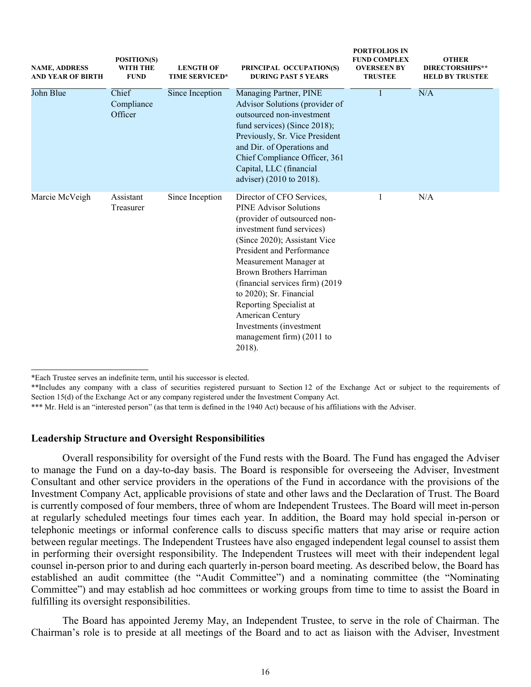| <b>NAME, ADDRESS</b><br>AND YEAR OF BIRTH | POSITION(S)<br>WITH THE<br><b>FUND</b>            | <b>LENGTH OF</b><br><b>TIME SERVICED*</b> | <b>FURTFULIUS IN</b><br><b>FUND COMPLEX</b><br>PRINCIPAL OCCUPATION(S)<br><b>OVERSEEN BY</b><br><b>DURING PAST 5 YEARS</b><br><b>TRUSTEE</b>                                                                                                                                                                                                                                                                              |     | <b>OTHER</b><br><b>DIRECTORSHIPS**</b><br><b>HELD BY TRUSTEE</b> |
|-------------------------------------------|---------------------------------------------------|-------------------------------------------|---------------------------------------------------------------------------------------------------------------------------------------------------------------------------------------------------------------------------------------------------------------------------------------------------------------------------------------------------------------------------------------------------------------------------|-----|------------------------------------------------------------------|
| John Blue                                 | Chief<br>Since Inception<br>Compliance<br>Officer |                                           | Managing Partner, PINE<br>Advisor Solutions (provider of<br>outsourced non-investment<br>fund services) (Since 2018);<br>Previously, Sr. Vice President<br>and Dir. of Operations and<br>Chief Compliance Officer, 361<br>Capital, LLC (financial<br>adviser) (2010 to 2018).                                                                                                                                             | N/A |                                                                  |
| Marcie McVeigh                            | Assistant<br>Treasurer                            | Since Inception                           | Director of CFO Services,<br><b>PINE Advisor Solutions</b><br>(provider of outsourced non-<br>investment fund services)<br>(Since 2020); Assistant Vice<br>President and Performance<br>Measurement Manager at<br>Brown Brothers Harriman<br>(financial services firm) (2019)<br>to 2020); Sr. Financial<br>Reporting Specialist at<br>American Century<br>Investments (investment<br>management firm) (2011 to<br>2018). | 1   | N/A                                                              |

**PORTFOLIOS IN**

\*\*Includes any company with a class of securities registered pursuant to Section 12 of the Exchange Act or subject to the requirements of Section 15(d) of the Exchange Act or any company registered under the Investment Company Act.

### **Leadership Structure and Oversight Responsibilities**

Overall responsibility for oversight of the Fund rests with the Board. The Fund has engaged the Adviser to manage the Fund on a day-to-day basis. The Board is responsible for overseeing the Adviser, Investment Consultant and other service providers in the operations of the Fund in accordance with the provisions of the Investment Company Act, applicable provisions of state and other laws and the Declaration of Trust. The Board is currently composed of four members, three of whom are Independent Trustees. The Board will meet in-person at regularly scheduled meetings four times each year. In addition, the Board may hold special in-person or telephonic meetings or informal conference calls to discuss specific matters that may arise or require action between regular meetings. The Independent Trustees have also engaged independent legal counsel to assist them in performing their oversight responsibility. The Independent Trustees will meet with their independent legal counsel in-person prior to and during each quarterly in-person board meeting. As described below, the Board has established an audit committee (the "Audit Committee") and a nominating committee (the "Nominating Committee") and may establish ad hoc committees or working groups from time to time to assist the Board in fulfilling its oversight responsibilities.

The Board has appointed Jeremy May, an Independent Trustee, to serve in the role of Chairman. The Chairman's role is to preside at all meetings of the Board and to act as liaison with the Adviser, Investment

<sup>\*</sup>Each Trustee serves an indefinite term, until his successor is elected.

<sup>\*\*\*</sup> Mr. Held is an "interested person" (as that term is defined in the 1940 Act) because of his affiliations with the Adviser.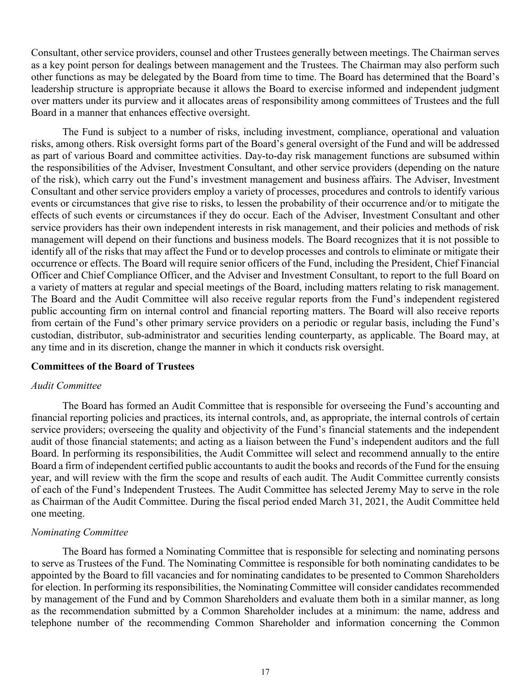Consultant, other service providers, counsel and other Trustees generally between meetings. The Chairman serves as a key point person for dealings between management and the Trustees. The Chairman may also perform such other functions as may be delegated by the Board from time to time. The Board has determined that the Board's leadership structure is appropriate because it allows the Board to exercise informed and independent judgment over matters under its purview and it allocates areas of responsibility among committees of Trustees and the full Board in a manner that enhances effective oversight.

The Fund is subject to a number of risks, including investment, compliance, operational and valuation risks, among others. Risk oversight forms part of the Board's general oversight of the Fund and will be addressed as part of various Board and committee activities. Day-to-day risk management functions are subsumed within the responsibilities of the Adviser, Investment Consultant, and other service providers (depending on the nature of the risk), which carry out the Fund's investment management and business affairs. The Adviser, Investment Consultant and other service providers employ a variety of processes, procedures and controls to identify various events or circumstances that give rise to risks, to lessen the probability of their occurrence and/or to mitigate the effects of such events or circumstances if they do occur. Each of the Adviser, Investment Consultant and other service providers has their own independent interests in risk management, and their policies and methods of risk management will depend on their functions and business models. The Board recognizes that it is not possible to identify all of the risks that may affect the Fund or to develop processes and controls to eliminate or mitigate their occurrence or effects. The Board will require senior officers of the Fund, including the President, Chief Financial Officer and Chief Compliance Officer, and the Adviser and Investment Consultant, to report to the full Board on a variety of matters at regular and special meetings of the Board, including matters relating to risk management. The Board and the Audit Committee will also receive regular reports from the Fund's independent registered public accounting firm on internal control and financial reporting matters. The Board will also receive reports from certain of the Fund's other primary service providers on a periodic or regular basis, including the Fund's custodian, distributor, sub-administrator and securities lending counterparty, as applicable. The Board may, at any time and in its discretion, change the manner in which it conducts risk oversight.

### **Committees of the Board of Trustees**

## *Audit Committee*

The Board has formed an Audit Committee that is responsible for overseeing the Fund's accounting and financial reporting policies and practices, its internal controls, and, as appropriate, the internal controls of certain service providers; overseeing the quality and objectivity of the Fund's financial statements and the independent audit of those financial statements; and acting as a liaison between the Fund's independent auditors and the full Board. In performing its responsibilities, the Audit Committee will select and recommend annually to the entire Board a firm of independent certified public accountants to audit the books and records of the Fund for the ensuing year, and will review with the firm the scope and results of each audit. The Audit Committee currently consists of each of the Fund's Independent Trustees. The Audit Committee has selected Jeremy May to serve in the role as Chairman of the Audit Committee. During the fiscal period ended March 31, 2021, the Audit Committee held one meeting.

#### *Nominating Committee*

The Board has formed a Nominating Committee that is responsible for selecting and nominating persons to serve as Trustees of the Fund. The Nominating Committee is responsible for both nominating candidates to be appointed by the Board to fill vacancies and for nominating candidates to be presented to Common Shareholders for election. In performing its responsibilities, the Nominating Committee will consider candidates recommended by management of the Fund and by Common Shareholders and evaluate them both in a similar manner, as long as the recommendation submitted by a Common Shareholder includes at a minimum: the name, address and telephone number of the recommending Common Shareholder and information concerning the Common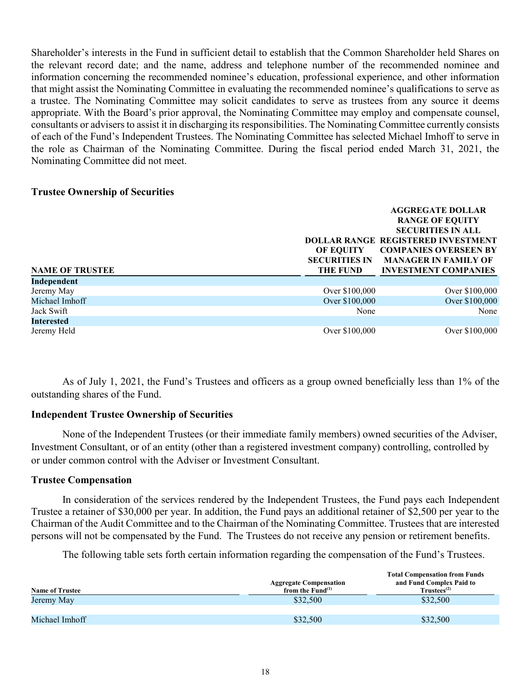Shareholder's interests in the Fund in sufficient detail to establish that the Common Shareholder held Shares on the relevant record date; and the name, address and telephone number of the recommended nominee and information concerning the recommended nominee's education, professional experience, and other information that might assist the Nominating Committee in evaluating the recommended nominee's qualifications to serve as a trustee. The Nominating Committee may solicit candidates to serve as trustees from any source it deems appropriate. With the Board's prior approval, the Nominating Committee may employ and compensate counsel, consultants or advisers to assist it in discharging its responsibilities. The Nominating Committee currently consists of each of the Fund's Independent Trustees. The Nominating Committee has selected Michael Imhoff to serve in the role as Chairman of the Nominating Committee. During the fiscal period ended March 31, 2021, the Nominating Committee did not meet.

# **Trustee Ownership of Securities**

|                        |                                                      | <b>AGGREGATE DOLLAR</b><br><b>RANGE OF EQUITY</b><br><b>SECURITIES IN ALL</b><br><b>DOLLAR RANGE REGISTERED INVESTMENT</b> |
|------------------------|------------------------------------------------------|----------------------------------------------------------------------------------------------------------------------------|
| <b>NAME OF TRUSTEE</b> | <b>OF EQUITY</b><br><b>SECURITIES IN</b><br>THE FUND | <b>COMPANIES OVERSEEN BY</b><br><b>MANAGER IN FAMILY OF</b><br><b>INVESTMENT COMPANIES</b>                                 |
| Independent            |                                                      |                                                                                                                            |
| Jeremy May             | Over \$100,000                                       | Over \$100,000                                                                                                             |
| Michael Imhoff         | Over \$100,000                                       | Over \$100,000                                                                                                             |
| Jack Swift             | None                                                 | None                                                                                                                       |
| <b>Interested</b>      |                                                      |                                                                                                                            |
| Jeremy Held            | Over \$100,000                                       | Over \$100,000                                                                                                             |

As of July 1, 2021, the Fund's Trustees and officers as a group owned beneficially less than 1% of the outstanding shares of the Fund.

# **Independent Trustee Ownership of Securities**

None of the Independent Trustees (or their immediate family members) owned securities of the Adviser, Investment Consultant, or of an entity (other than a registered investment company) controlling, controlled by or under common control with the Adviser or Investment Consultant.

## **Trustee Compensation**

In consideration of the services rendered by the Independent Trustees, the Fund pays each Independent Trustee a retainer of \$30,000 per year. In addition, the Fund pays an additional retainer of \$2,500 per year to the Chairman of the Audit Committee and to the Chairman of the Nominating Committee. Trustees that are interested persons will not be compensated by the Fund. The Trustees do not receive any pension or retirement benefits.

The following table sets forth certain information regarding the compensation of the Fund's Trustees.

| <b>Name of Trustee</b> | <b>Aggregate Compensation</b><br>from the $\text{Fund}^{(1)}$ | <b>Total Compensation from Funds</b><br>and Fund Complex Paid to<br>Trustees <sup>(2)</sup> |
|------------------------|---------------------------------------------------------------|---------------------------------------------------------------------------------------------|
| Jeremy May             | \$32,500                                                      | \$32,500                                                                                    |
|                        |                                                               |                                                                                             |
| Michael Imhoff         | \$32,500                                                      | \$32,500                                                                                    |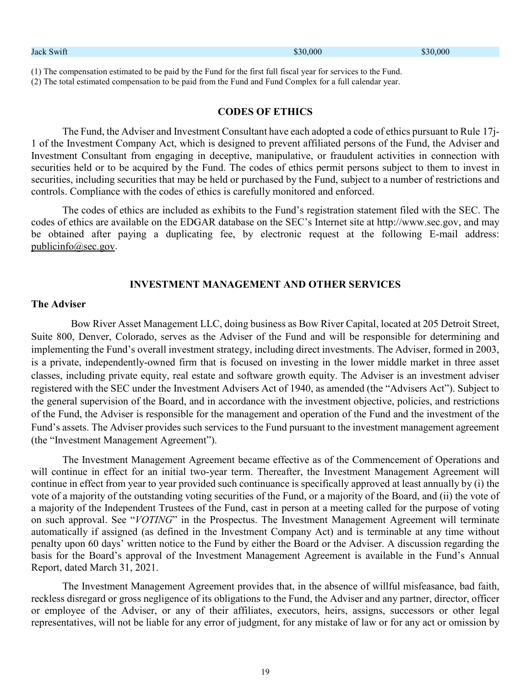| Jack Swift                                                                                                                                                                                                                 | \$30,000 | \$30,000 |
|----------------------------------------------------------------------------------------------------------------------------------------------------------------------------------------------------------------------------|----------|----------|
| (1) The compensation estimated to be paid by the Fund for the first full fiscal year for services to the Fund.<br>(2) The total estimated compensation to be paid from the Fund and Fund Complex for a full calendar year. |          |          |

# **CODES OF ETHICS**

The Fund, the Adviser and Investment Consultant have each adopted a code of ethics pursuant to Rule 17j-1 of the Investment Company Act, which is designed to prevent affiliated persons of the Fund, the Adviser and Investment Consultant from engaging in deceptive, manipulative, or fraudulent activities in connection with securities held or to be acquired by the Fund. The codes of ethics permit persons subject to them to invest in securities, including securities that may be held or purchased by the Fund, subject to a number of restrictions and controls. Compliance with the codes of ethics is carefully monitored and enforced.

The codes of ethics are included as exhibits to the Fund's registration statement filed with the SEC. The codes of ethics are available on the EDGAR database on the SEC's Internet site at http://www.sec.gov, and may be obtained after paying a duplicating fee, by electronic request at the following E-mail address: [publicinfo@sec.gov.](mailto:publicinfo@sec.gov)

## **INVESTMENT MANAGEMENT AND OTHER SERVICES**

#### **The Adviser**

Bow River Asset Management LLC, doing business as Bow River Capital, located at 205 Detroit Street, Suite 800, Denver, Colorado, serves as the Adviser of the Fund and will be responsible for determining and implementing the Fund's overall investment strategy, including direct investments. The Adviser, formed in 2003, is a private, independently-owned firm that is focused on investing in the lower middle market in three asset classes, including private equity, real estate and software growth equity. The Adviser is an investment adviser registered with the SEC under the Investment Advisers Act of 1940, as amended (the "Advisers Act"). Subject to the general supervision of the Board, and in accordance with the investment objective, policies, and restrictions of the Fund, the Adviser is responsible for the management and operation of the Fund and the investment of the Fund's assets. The Adviser provides such services to the Fund pursuant to the investment management agreement (the "Investment Management Agreement").

The Investment Management Agreement became effective as of the Commencement of Operations and will continue in effect for an initial two-year term. Thereafter, the Investment Management Agreement will continue in effect from year to year provided such continuance is specifically approved at least annually by (i) the vote of a majority of the outstanding voting securities of the Fund, or a majority of the Board, and (ii) the vote of a majority of the Independent Trustees of the Fund, cast in person at a meeting called for the purpose of voting on such approval. See "*VOTING*" in the Prospectus. The Investment Management Agreement will terminate automatically if assigned (as defined in the Investment Company Act) and is terminable at any time without penalty upon 60 days' written notice to the Fund by either the Board or the Adviser. A discussion regarding the basis for the Board's approval of the Investment Management Agreement is available in the Fund's Annual Report, dated March 31, 2021.

The Investment Management Agreement provides that, in the absence of willful misfeasance, bad faith, reckless disregard or gross negligence of its obligations to the Fund, the Adviser and any partner, director, officer or employee of the Adviser, or any of their affiliates, executors, heirs, assigns, successors or other legal representatives, will not be liable for any error of judgment, for any mistake of law or for any act or omission by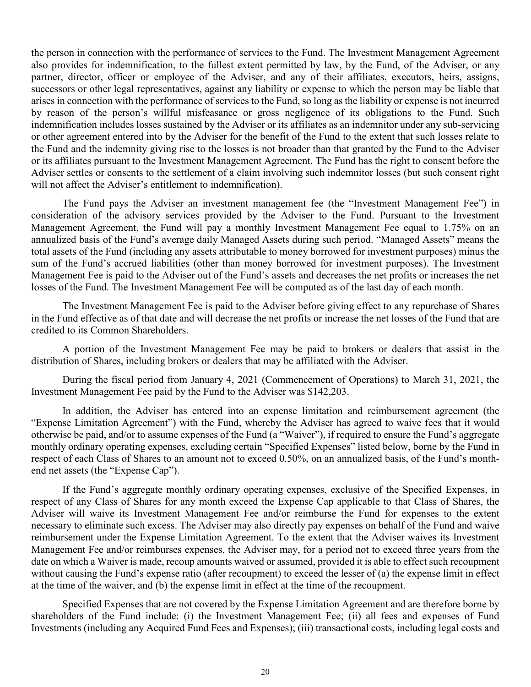the person in connection with the performance of services to the Fund. The Investment Management Agreement also provides for indemnification, to the fullest extent permitted by law, by the Fund, of the Adviser, or any partner, director, officer or employee of the Adviser, and any of their affiliates, executors, heirs, assigns, successors or other legal representatives, against any liability or expense to which the person may be liable that arises in connection with the performance of services to the Fund, so long as the liability or expense is not incurred by reason of the person's willful misfeasance or gross negligence of its obligations to the Fund. Such indemnification includes losses sustained by the Adviser or its affiliates as an indemnitor under any sub-servicing or other agreement entered into by the Adviser for the benefit of the Fund to the extent that such losses relate to the Fund and the indemnity giving rise to the losses is not broader than that granted by the Fund to the Adviser or its affiliates pursuant to the Investment Management Agreement. The Fund has the right to consent before the Adviser settles or consents to the settlement of a claim involving such indemnitor losses (but such consent right will not affect the Adviser's entitlement to indemnification).

The Fund pays the Adviser an investment management fee (the "Investment Management Fee") in consideration of the advisory services provided by the Adviser to the Fund. Pursuant to the Investment Management Agreement, the Fund will pay a monthly Investment Management Fee equal to 1.75% on an annualized basis of the Fund's average daily Managed Assets during such period. "Managed Assets" means the total assets of the Fund (including any assets attributable to money borrowed for investment purposes) minus the sum of the Fund's accrued liabilities (other than money borrowed for investment purposes). The Investment Management Fee is paid to the Adviser out of the Fund's assets and decreases the net profits or increases the net losses of the Fund. The Investment Management Fee will be computed as of the last day of each month.

The Investment Management Fee is paid to the Adviser before giving effect to any repurchase of Shares in the Fund effective as of that date and will decrease the net profits or increase the net losses of the Fund that are credited to its Common Shareholders.

A portion of the Investment Management Fee may be paid to brokers or dealers that assist in the distribution of Shares, including brokers or dealers that may be affiliated with the Adviser.

During the fiscal period from January 4, 2021 (Commencement of Operations) to March 31, 2021, the Investment Management Fee paid by the Fund to the Adviser was \$142,203.

In addition, the Adviser has entered into an expense limitation and reimbursement agreement (the "Expense Limitation Agreement") with the Fund, whereby the Adviser has agreed to waive fees that it would otherwise be paid, and/or to assume expenses of the Fund (a "Waiver"), if required to ensure the Fund's aggregate monthly ordinary operating expenses, excluding certain "Specified Expenses" listed below, borne by the Fund in respect of each Class of Shares to an amount not to exceed 0.50%, on an annualized basis, of the Fund's monthend net assets (the "Expense Cap").

If the Fund's aggregate monthly ordinary operating expenses, exclusive of the Specified Expenses, in respect of any Class of Shares for any month exceed the Expense Cap applicable to that Class of Shares, the Adviser will waive its Investment Management Fee and/or reimburse the Fund for expenses to the extent necessary to eliminate such excess. The Adviser may also directly pay expenses on behalf of the Fund and waive reimbursement under the Expense Limitation Agreement. To the extent that the Adviser waives its Investment Management Fee and/or reimburses expenses, the Adviser may, for a period not to exceed three years from the date on which a Waiver is made, recoup amounts waived or assumed, provided it is able to effect such recoupment without causing the Fund's expense ratio (after recoupment) to exceed the lesser of (a) the expense limit in effect at the time of the waiver, and (b) the expense limit in effect at the time of the recoupment.

Specified Expenses that are not covered by the Expense Limitation Agreement and are therefore borne by shareholders of the Fund include: (i) the Investment Management Fee; (ii) all fees and expenses of Fund Investments (including any Acquired Fund Fees and Expenses); (iii) transactional costs, including legal costs and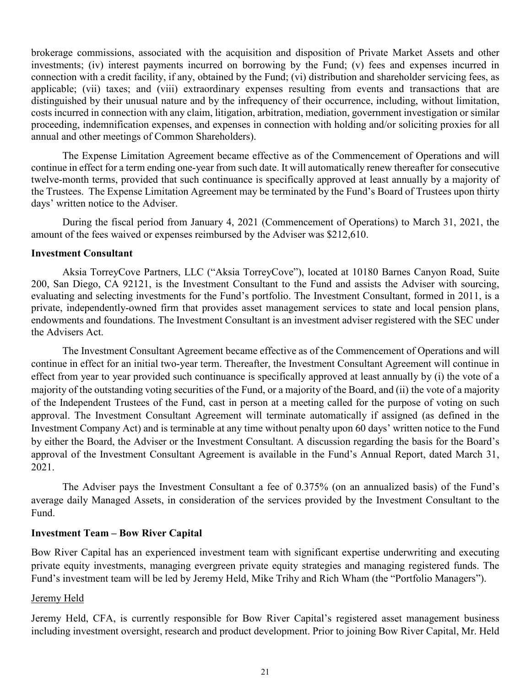brokerage commissions, associated with the acquisition and disposition of Private Market Assets and other investments; (iv) interest payments incurred on borrowing by the Fund; (v) fees and expenses incurred in connection with a credit facility, if any, obtained by the Fund; (vi) distribution and shareholder servicing fees, as applicable; (vii) taxes; and (viii) extraordinary expenses resulting from events and transactions that are distinguished by their unusual nature and by the infrequency of their occurrence, including, without limitation, costs incurred in connection with any claim, litigation, arbitration, mediation, government investigation or similar proceeding, indemnification expenses, and expenses in connection with holding and/or soliciting proxies for all annual and other meetings of Common Shareholders).

The Expense Limitation Agreement became effective as of the Commencement of Operations and will continue in effect for a term ending one-year from such date. It will automatically renew thereafter for consecutive twelve-month terms, provided that such continuance is specifically approved at least annually by a majority of the Trustees. The Expense Limitation Agreement may be terminated by the Fund's Board of Trustees upon thirty days' written notice to the Adviser.

During the fiscal period from January 4, 2021 (Commencement of Operations) to March 31, 2021, the amount of the fees waived or expenses reimbursed by the Adviser was \$212,610.

# **Investment Consultant**

Aksia TorreyCove Partners, LLC ("Aksia TorreyCove"), located at 10180 Barnes Canyon Road, Suite 200, San Diego, CA 92121, is the Investment Consultant to the Fund and assists the Adviser with sourcing, evaluating and selecting investments for the Fund's portfolio. The Investment Consultant, formed in 2011, is a private, independently-owned firm that provides asset management services to state and local pension plans, endowments and foundations. The Investment Consultant is an investment adviser registered with the SEC under the Advisers Act.

The Investment Consultant Agreement became effective as of the Commencement of Operations and will continue in effect for an initial two-year term. Thereafter, the Investment Consultant Agreement will continue in effect from year to year provided such continuance is specifically approved at least annually by (i) the vote of a majority of the outstanding voting securities of the Fund, or a majority of the Board, and (ii) the vote of a majority of the Independent Trustees of the Fund, cast in person at a meeting called for the purpose of voting on such approval. The Investment Consultant Agreement will terminate automatically if assigned (as defined in the Investment Company Act) and is terminable at any time without penalty upon 60 days' written notice to the Fund by either the Board, the Adviser or the Investment Consultant. A discussion regarding the basis for the Board's approval of the Investment Consultant Agreement is available in the Fund's Annual Report, dated March 31, 2021.

The Adviser pays the Investment Consultant a fee of 0.375% (on an annualized basis) of the Fund's average daily Managed Assets, in consideration of the services provided by the Investment Consultant to the Fund.

# **Investment Team – Bow River Capital**

Bow River Capital has an experienced investment team with significant expertise underwriting and executing private equity investments, managing evergreen private equity strategies and managing registered funds. The Fund's investment team will be led by Jeremy Held, Mike Trihy and Rich Wham (the "Portfolio Managers").

# Jeremy Held

Jeremy Held, CFA, is currently responsible for Bow River Capital's registered asset management business including investment oversight, research and product development. Prior to joining Bow River Capital, Mr. Held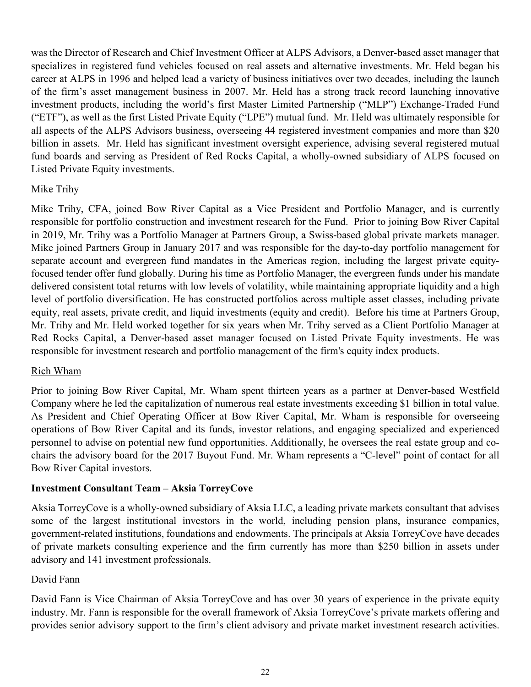was the Director of Research and Chief Investment Officer at ALPS Advisors, a Denver-based asset manager that specializes in registered fund vehicles focused on real assets and alternative investments. Mr. Held began his career at ALPS in 1996 and helped lead a variety of business initiatives over two decades, including the launch of the firm's asset management business in 2007. Mr. Held has a strong track record launching innovative investment products, including the world's first Master Limited Partnership ("MLP") Exchange-Traded Fund ("ETF"), as well as the first Listed Private Equity ("LPE") mutual fund. Mr. Held was ultimately responsible for all aspects of the ALPS Advisors business, overseeing 44 registered investment companies and more than \$20 billion in assets. Mr. Held has significant investment oversight experience, advising several registered mutual fund boards and serving as President of Red Rocks Capital, a wholly-owned subsidiary of ALPS focused on Listed Private Equity investments.

# Mike Trihy

Mike Trihy, CFA, joined Bow River Capital as a Vice President and Portfolio Manager, and is currently responsible for portfolio construction and investment research for the Fund. Prior to joining Bow River Capital in 2019, Mr. Trihy was a Portfolio Manager at Partners Group, a Swiss-based global private markets manager. Mike joined Partners Group in January 2017 and was responsible for the day-to-day portfolio management for separate account and evergreen fund mandates in the Americas region, including the largest private equityfocused tender offer fund globally. During his time as Portfolio Manager, the evergreen funds under his mandate delivered consistent total returns with low levels of volatility, while maintaining appropriate liquidity and a high level of portfolio diversification. He has constructed portfolios across multiple asset classes, including private equity, real assets, private credit, and liquid investments (equity and credit). Before his time at Partners Group, Mr. Trihy and Mr. Held worked together for six years when Mr. Trihy served as a Client Portfolio Manager at Red Rocks Capital, a Denver-based asset manager focused on Listed Private Equity investments. He was responsible for investment research and portfolio management of the firm's equity index products.

# Rich Wham

Prior to joining Bow River Capital, Mr. Wham spent thirteen years as a partner at Denver-based Westfield Company where he led the capitalization of numerous real estate investments exceeding \$1 billion in total value. As President and Chief Operating Officer at Bow River Capital, Mr. Wham is responsible for overseeing operations of Bow River Capital and its funds, investor relations, and engaging specialized and experienced personnel to advise on potential new fund opportunities. Additionally, he oversees the real estate group and cochairs the advisory board for the 2017 Buyout Fund. Mr. Wham represents a "C-level" point of contact for all Bow River Capital investors.

# **Investment Consultant Team – Aksia TorreyCove**

Aksia TorreyCove is a wholly-owned subsidiary of Aksia LLC, a leading private markets consultant that advises some of the largest institutional investors in the world, including pension plans, insurance companies, government-related institutions, foundations and endowments. The principals at Aksia TorreyCove have decades of private markets consulting experience and the firm currently has more than \$250 billion in assets under advisory and 141 investment professionals.

# David Fann

David Fann is Vice Chairman of Aksia TorreyCove and has over 30 years of experience in the private equity industry. Mr. Fann is responsible for the overall framework of Aksia TorreyCove's private markets offering and provides senior advisory support to the firm's client advisory and private market investment research activities.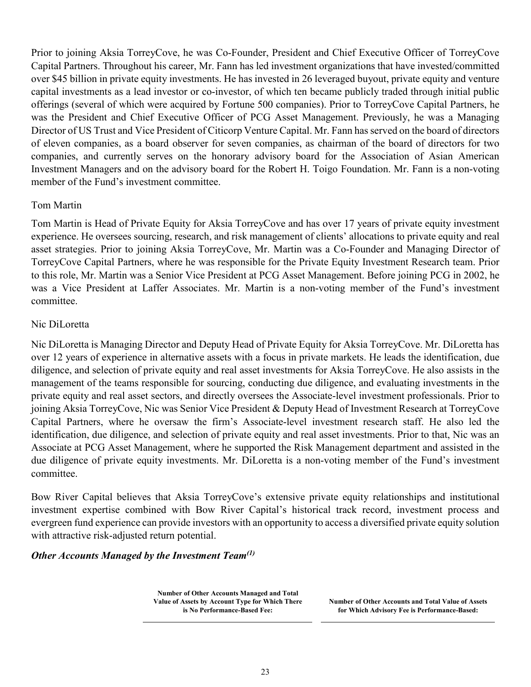Prior to joining Aksia TorreyCove, he was Co-Founder, President and Chief Executive Officer of TorreyCove Capital Partners. Throughout his career, Mr. Fann has led investment organizations that have invested/committed over \$45 billion in private equity investments. He has invested in 26 leveraged buyout, private equity and venture capital investments as a lead investor or co-investor, of which ten became publicly traded through initial public offerings (several of which were acquired by Fortune 500 companies). Prior to TorreyCove Capital Partners, he was the President and Chief Executive Officer of PCG Asset Management. Previously, he was a Managing Director of US Trust and Vice President of Citicorp Venture Capital. Mr. Fann has served on the board of directors of eleven companies, as a board observer for seven companies, as chairman of the board of directors for two companies, and currently serves on the honorary advisory board for the Association of Asian American Investment Managers and on the advisory board for the Robert H. Toigo Foundation. Mr. Fann is a non-voting member of the Fund's investment committee.

# Tom Martin

Tom Martin is Head of Private Equity for Aksia TorreyCove and has over 17 years of private equity investment experience. He oversees sourcing, research, and risk management of clients' allocations to private equity and real asset strategies. Prior to joining Aksia TorreyCove, Mr. Martin was a Co-Founder and Managing Director of TorreyCove Capital Partners, where he was responsible for the Private Equity Investment Research team. Prior to this role, Mr. Martin was a Senior Vice President at PCG Asset Management. Before joining PCG in 2002, he was a Vice President at Laffer Associates. Mr. Martin is a non-voting member of the Fund's investment committee.

# Nic DiLoretta

Nic DiLoretta is Managing Director and Deputy Head of Private Equity for Aksia TorreyCove. Mr. DiLoretta has over 12 years of experience in alternative assets with a focus in private markets. He leads the identification, due diligence, and selection of private equity and real asset investments for Aksia TorreyCove. He also assists in the management of the teams responsible for sourcing, conducting due diligence, and evaluating investments in the private equity and real asset sectors, and directly oversees the Associate-level investment professionals. Prior to joining Aksia TorreyCove, Nic was Senior Vice President & Deputy Head of Investment Research at TorreyCove Capital Partners, where he oversaw the firm's Associate-level investment research staff. He also led the identification, due diligence, and selection of private equity and real asset investments. Prior to that, Nic was an Associate at PCG Asset Management, where he supported the Risk Management department and assisted in the due diligence of private equity investments. Mr. DiLoretta is a non-voting member of the Fund's investment committee.

Bow River Capital believes that Aksia TorreyCove's extensive private equity relationships and institutional investment expertise combined with Bow River Capital's historical track record, investment process and evergreen fund experience can provide investors with an opportunity to access a diversified private equity solution with attractive risk-adjusted return potential.

# *Other Accounts Managed by the Investment Team(1)*

**Number of Other Accounts Managed and Total Value of Assets by Account Type for Which There is No Performance-Based Fee:**

**Number of Other Accounts and Total Value of Assets for Which Advisory Fee is Performance-Based:**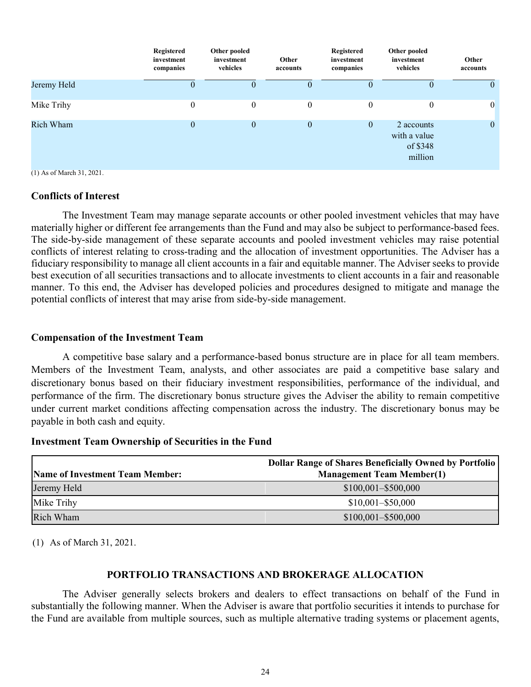|             | Registered<br>investment<br>companies | Other pooled<br>investment<br>vehicles | Other<br>accounts | Registered<br>investment<br>companies | Other pooled<br>investment<br>vehicles            | Other<br>accounts |
|-------------|---------------------------------------|----------------------------------------|-------------------|---------------------------------------|---------------------------------------------------|-------------------|
| Jeremy Held | $\theta$                              | $\theta$                               | $\theta$          | $\theta$                              | U                                                 | $\theta$          |
| Mike Trihy  | $\theta$                              | $\mathbf{0}$                           | $\mathbf{0}$      | $\overline{0}$                        | $\overline{0}$                                    | $\overline{0}$    |
| Rich Wham   | $\boldsymbol{0}$                      | $\mathbf{0}$                           | $\mathbf{0}$      | $\boldsymbol{0}$                      | 2 accounts<br>with a value<br>of \$348<br>million | $\mathbf{0}$      |

(1) As of March 31, 2021.

# **Conflicts of Interest**

The Investment Team may manage separate accounts or other pooled investment vehicles that may have materially higher or different fee arrangements than the Fund and may also be subject to performance-based fees. The side-by-side management of these separate accounts and pooled investment vehicles may raise potential conflicts of interest relating to cross-trading and the allocation of investment opportunities. The Adviser has a fiduciary responsibility to manage all client accounts in a fair and equitable manner. The Adviser seeks to provide best execution of all securities transactions and to allocate investments to client accounts in a fair and reasonable manner. To this end, the Adviser has developed policies and procedures designed to mitigate and manage the potential conflicts of interest that may arise from side-by-side management.

# **Compensation of the Investment Team**

A competitive base salary and a performance-based bonus structure are in place for all team members. Members of the Investment Team, analysts, and other associates are paid a competitive base salary and discretionary bonus based on their fiduciary investment responsibilities, performance of the individual, and performance of the firm. The discretionary bonus structure gives the Adviser the ability to remain competitive under current market conditions affecting compensation across the industry. The discretionary bonus may be payable in both cash and equity.

# **Investment Team Ownership of Securities in the Fund**

|                                        | <b>Dollar Range of Shares Beneficially Owned by Portfolio</b> |
|----------------------------------------|---------------------------------------------------------------|
| <b>Name of Investment Team Member:</b> | <b>Management Team Member(1)</b>                              |
| Jeremy Held                            | $$100,001 - $500,000$                                         |
| Mike Trihy                             | $$10,001 - $50,000$                                           |
| Rich Wham                              | $$100,001 - $500,000$                                         |

(1) As of March 31, 2021.

# **PORTFOLIO TRANSACTIONS AND BROKERAGE ALLOCATION**

The Adviser generally selects brokers and dealers to effect transactions on behalf of the Fund in substantially the following manner. When the Adviser is aware that portfolio securities it intends to purchase for the Fund are available from multiple sources, such as multiple alternative trading systems or placement agents,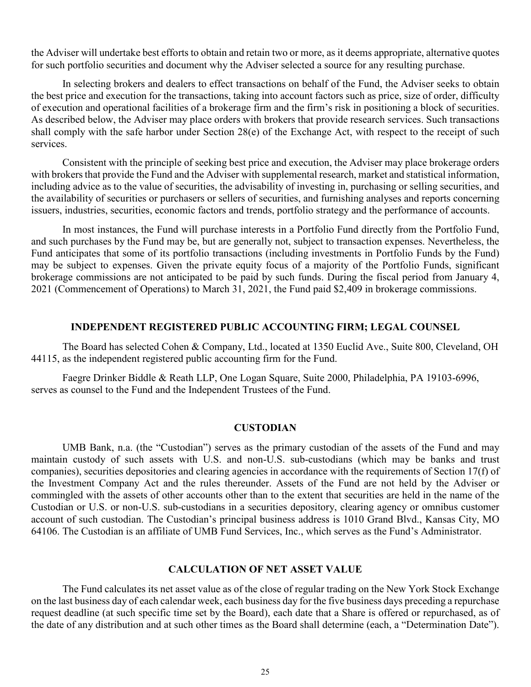the Adviser will undertake best efforts to obtain and retain two or more, as it deems appropriate, alternative quotes for such portfolio securities and document why the Adviser selected a source for any resulting purchase.

In selecting brokers and dealers to effect transactions on behalf of the Fund, the Adviser seeks to obtain the best price and execution for the transactions, taking into account factors such as price, size of order, difficulty of execution and operational facilities of a brokerage firm and the firm's risk in positioning a block of securities. As described below, the Adviser may place orders with brokers that provide research services. Such transactions shall comply with the safe harbor under Section 28(e) of the Exchange Act, with respect to the receipt of such services.

Consistent with the principle of seeking best price and execution, the Adviser may place brokerage orders with brokers that provide the Fund and the Adviser with supplemental research, market and statistical information, including advice as to the value of securities, the advisability of investing in, purchasing or selling securities, and the availability of securities or purchasers or sellers of securities, and furnishing analyses and reports concerning issuers, industries, securities, economic factors and trends, portfolio strategy and the performance of accounts.

In most instances, the Fund will purchase interests in a Portfolio Fund directly from the Portfolio Fund, and such purchases by the Fund may be, but are generally not, subject to transaction expenses. Nevertheless, the Fund anticipates that some of its portfolio transactions (including investments in Portfolio Funds by the Fund) may be subject to expenses. Given the private equity focus of a majority of the Portfolio Funds, significant brokerage commissions are not anticipated to be paid by such funds. During the fiscal period from January 4, 2021 (Commencement of Operations) to March 31, 2021, the Fund paid \$2,409 in brokerage commissions.

# **INDEPENDENT REGISTERED PUBLIC ACCOUNTING FIRM; LEGAL COUNSEL**

The Board has selected Cohen & Company, Ltd., located at 1350 Euclid Ave., Suite 800, Cleveland, OH 44115, as the independent registered public accounting firm for the Fund.

Faegre Drinker Biddle & Reath LLP, One Logan Square, Suite 2000, Philadelphia, PA 19103-6996, serves as counsel to the Fund and the Independent Trustees of the Fund.

### **CUSTODIAN**

UMB Bank, n.a. (the "Custodian") serves as the primary custodian of the assets of the Fund and may maintain custody of such assets with U.S. and non-U.S. sub-custodians (which may be banks and trust companies), securities depositories and clearing agencies in accordance with the requirements of Section 17(f) of the Investment Company Act and the rules thereunder. Assets of the Fund are not held by the Adviser or commingled with the assets of other accounts other than to the extent that securities are held in the name of the Custodian or U.S. or non-U.S. sub-custodians in a securities depository, clearing agency or omnibus customer account of such custodian. The Custodian's principal business address is 1010 Grand Blvd., Kansas City, MO 64106. The Custodian is an affiliate of UMB Fund Services, Inc., which serves as the Fund's Administrator.

# **CALCULATION OF NET ASSET VALUE**

The Fund calculates its net asset value as of the close of regular trading on the New York Stock Exchange on the last business day of each calendar week, each business day for the five business days preceding a repurchase request deadline (at such specific time set by the Board), each date that a Share is offered or repurchased, as of the date of any distribution and at such other times as the Board shall determine (each, a "Determination Date").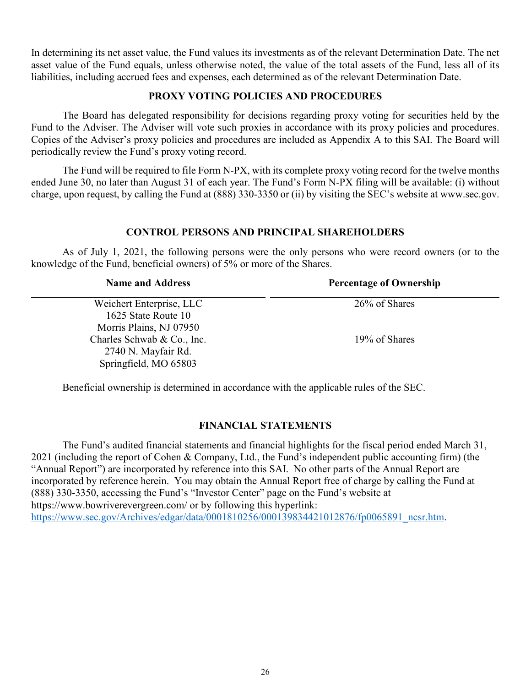In determining its net asset value, the Fund values its investments as of the relevant Determination Date. The net asset value of the Fund equals, unless otherwise noted, the value of the total assets of the Fund, less all of its liabilities, including accrued fees and expenses, each determined as of the relevant Determination Date.

# **PROXY VOTING POLICIES AND PROCEDURES**

The Board has delegated responsibility for decisions regarding proxy voting for securities held by the Fund to the Adviser. The Adviser will vote such proxies in accordance with its proxy policies and procedures. Copies of the Adviser's proxy policies and procedures are included as Appendix A to this SAI. The Board will periodically review the Fund's proxy voting record.

The Fund will be required to file Form N-PX, with its complete proxy voting record for the twelve months ended June 30, no later than August 31 of each year. The Fund's Form N-PX filing will be available: (i) without charge, upon request, by calling the Fund at (888) 330-3350 or (ii) by visiting the SEC's website at www.sec.gov.

# **CONTROL PERSONS AND PRINCIPAL SHAREHOLDERS**

As of July 1, 2021, the following persons were the only persons who were record owners (or to the knowledge of the Fund, beneficial owners) of 5% or more of the Shares.

| <b>Name and Address</b>    | <b>Percentage of Ownership</b> |
|----------------------------|--------------------------------|
| Weichert Enterprise, LLC   | 26% of Shares                  |
| 1625 State Route 10        |                                |
| Morris Plains, NJ 07950    |                                |
| Charles Schwab & Co., Inc. | 19% of Shares                  |
| 2740 N. Mayfair Rd.        |                                |
| Springfield, MO 65803      |                                |

Beneficial ownership is determined in accordance with the applicable rules of the SEC.

# **FINANCIAL STATEMENTS**

The Fund's audited financial statements and financial highlights for the fiscal period ended March 31, 2021 (including the report of Cohen & Company, Ltd., the Fund's independent public accounting firm) (the "Annual Report") are incorporated by reference into this SAI. No other parts of the Annual Report are incorporated by reference herein. You may obtain the Annual Report free of charge by calling the Fund at (888) 330-3350, accessing the Fund's "Investor Center" page on the Fund's website at https://www.bowriverevergreen.com/ or by following this hyperlink: [https://www.sec.gov/Archives/edgar/data/0001810256/000139834421012876/fp0065891\\_ncsr.htm.](https://www.sec.gov/Archives/edgar/data/0001810256/000139834421012876/fp0065891_ncsr.htm)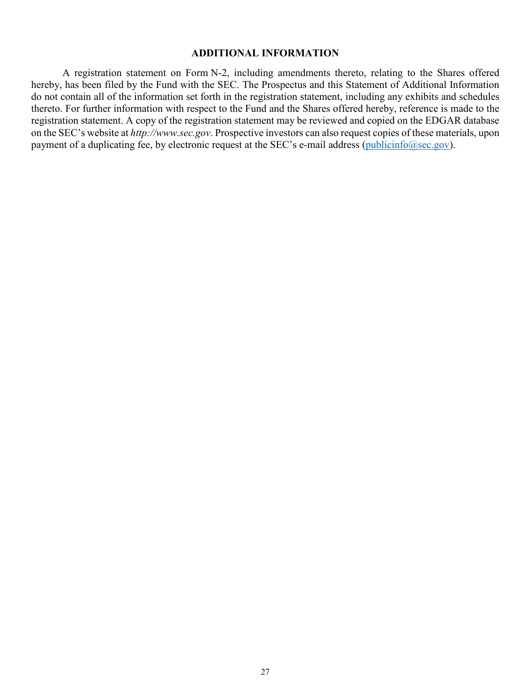## **ADDITIONAL INFORMATION**

A registration statement on Form N-2, including amendments thereto, relating to the Shares offered hereby, has been filed by the Fund with the SEC. The Prospectus and this Statement of Additional Information do not contain all of the information set forth in the registration statement, including any exhibits and schedules thereto. For further information with respect to the Fund and the Shares offered hereby, reference is made to the registration statement. A copy of the registration statement may be reviewed and copied on the EDGAR database on the SEC's website at *http://www.sec.gov*. Prospective investors can also request copies of these materials, upon payment of a duplicating fee, by electronic request at the SEC's e-mail address [\(publicinfo@sec.gov\)](mailto:publicinfo@sec.gov).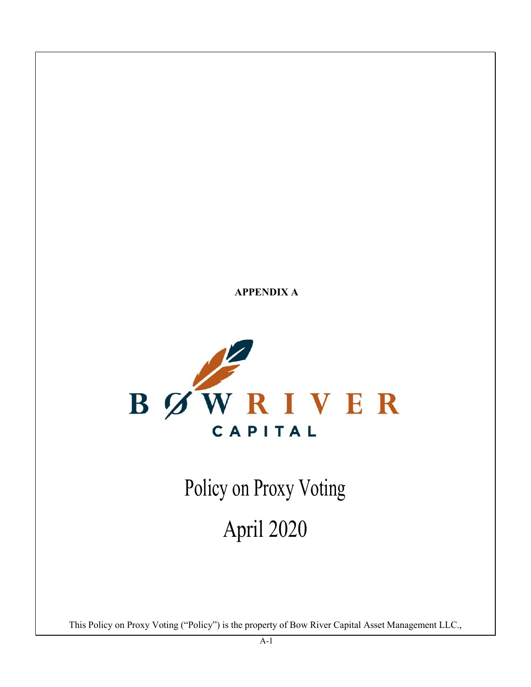**APPENDIX A**



Policy on Proxy Voting

April 2020

This Policy on Proxy Voting ("Policy") is the property of Bow River Capital Asset Management LLC.,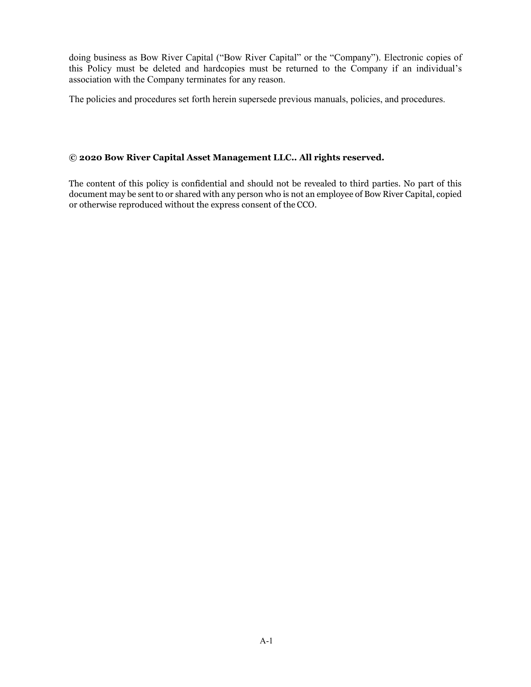doing business as Bow River Capital ("Bow River Capital" or the "Company"). Electronic copies of this Policy must be deleted and hardcopies must be returned to the Company if an individual's association with the Company terminates for any reason.

The policies and procedures set forth herein supersede previous manuals, policies, and procedures.

# **© 2020 Bow River Capital Asset Management LLC.. All rights reserved.**

The content of this policy is confidential and should not be revealed to third parties. No part of this document may be sent to or shared with any person who is not an employee of Bow River Capital, copied or otherwise reproduced without the express consent of the CCO.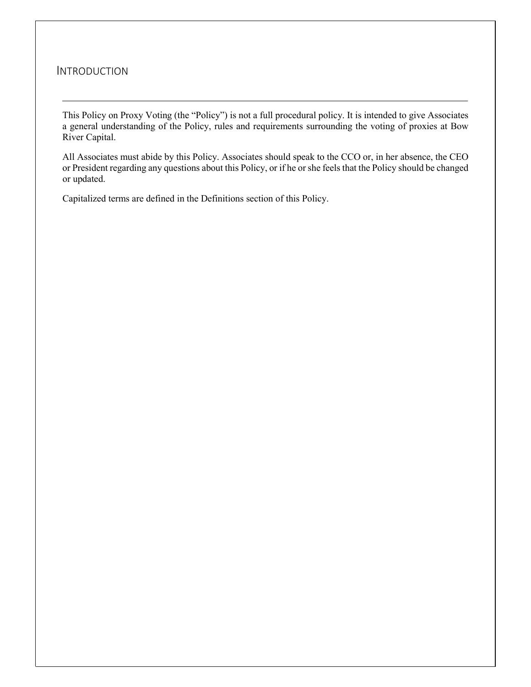# INTRODUCTION

This Policy on Proxy Voting (the "Policy") is not a full procedural policy. It is intended to give Associates a general understanding of the Policy, rules and requirements surrounding the voting of proxies at Bow River Capital.

All Associates must abide by this Policy. Associates should speak to the CCO or, in her absence, the CEO or President regarding any questions about this Policy, or if he or she feels that the Policy should be changed or updated.

Capitalized terms are defined in the Definitions section of this Policy.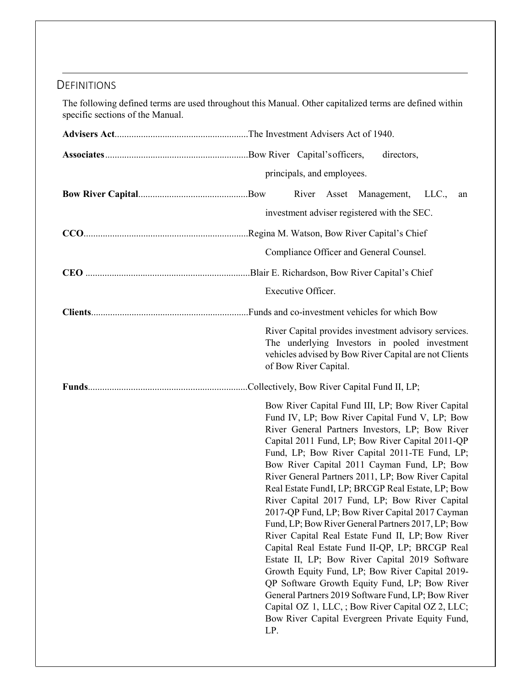# **DEFINITIONS**

The following defined terms are used throughout this Manual. Other capitalized terms are defined within specific sections of the Manual.

|  | directors, |                            |  |  |                                                                                                                                                                                                                                                                                                                                                                                                                                                                                                                                                                                                                                                                                                                                                                                                                                                                                                                                                                                                             |       |    |
|--|------------|----------------------------|--|--|-------------------------------------------------------------------------------------------------------------------------------------------------------------------------------------------------------------------------------------------------------------------------------------------------------------------------------------------------------------------------------------------------------------------------------------------------------------------------------------------------------------------------------------------------------------------------------------------------------------------------------------------------------------------------------------------------------------------------------------------------------------------------------------------------------------------------------------------------------------------------------------------------------------------------------------------------------------------------------------------------------------|-------|----|
|  |            | principals, and employees. |  |  |                                                                                                                                                                                                                                                                                                                                                                                                                                                                                                                                                                                                                                                                                                                                                                                                                                                                                                                                                                                                             |       |    |
|  |            | River                      |  |  | Asset Management,                                                                                                                                                                                                                                                                                                                                                                                                                                                                                                                                                                                                                                                                                                                                                                                                                                                                                                                                                                                           | LLC., | an |
|  |            |                            |  |  | investment adviser registered with the SEC.                                                                                                                                                                                                                                                                                                                                                                                                                                                                                                                                                                                                                                                                                                                                                                                                                                                                                                                                                                 |       |    |
|  |            |                            |  |  |                                                                                                                                                                                                                                                                                                                                                                                                                                                                                                                                                                                                                                                                                                                                                                                                                                                                                                                                                                                                             |       |    |
|  |            |                            |  |  | Compliance Officer and General Counsel.                                                                                                                                                                                                                                                                                                                                                                                                                                                                                                                                                                                                                                                                                                                                                                                                                                                                                                                                                                     |       |    |
|  |            |                            |  |  |                                                                                                                                                                                                                                                                                                                                                                                                                                                                                                                                                                                                                                                                                                                                                                                                                                                                                                                                                                                                             |       |    |
|  |            | Executive Officer.         |  |  |                                                                                                                                                                                                                                                                                                                                                                                                                                                                                                                                                                                                                                                                                                                                                                                                                                                                                                                                                                                                             |       |    |
|  |            |                            |  |  |                                                                                                                                                                                                                                                                                                                                                                                                                                                                                                                                                                                                                                                                                                                                                                                                                                                                                                                                                                                                             |       |    |
|  |            | of Bow River Capital.      |  |  | River Capital provides investment advisory services.<br>The underlying Investors in pooled investment<br>vehicles advised by Bow River Capital are not Clients                                                                                                                                                                                                                                                                                                                                                                                                                                                                                                                                                                                                                                                                                                                                                                                                                                              |       |    |
|  |            |                            |  |  |                                                                                                                                                                                                                                                                                                                                                                                                                                                                                                                                                                                                                                                                                                                                                                                                                                                                                                                                                                                                             |       |    |
|  | LP.        |                            |  |  | Bow River Capital Fund III, LP; Bow River Capital<br>Fund IV, LP; Bow River Capital Fund V, LP; Bow<br>River General Partners Investors, LP; Bow River<br>Capital 2011 Fund, LP; Bow River Capital 2011-QP<br>Fund, LP; Bow River Capital 2011-TE Fund, LP;<br>Bow River Capital 2011 Cayman Fund, LP; Bow<br>River General Partners 2011, LP; Bow River Capital<br>Real Estate FundI, LP; BRCGP Real Estate, LP; Bow<br>River Capital 2017 Fund, LP; Bow River Capital<br>2017-QP Fund, LP; Bow River Capital 2017 Cayman<br>Fund, LP; Bow River General Partners 2017, LP; Bow<br>River Capital Real Estate Fund II, LP; Bow River<br>Capital Real Estate Fund II-QP, LP; BRCGP Real<br>Estate II, LP; Bow River Capital 2019 Software<br>Growth Equity Fund, LP; Bow River Capital 2019-<br>QP Software Growth Equity Fund, LP; Bow River<br>General Partners 2019 Software Fund, LP; Bow River<br>Capital OZ 1, LLC, ; Bow River Capital OZ 2, LLC;<br>Bow River Capital Evergreen Private Equity Fund, |       |    |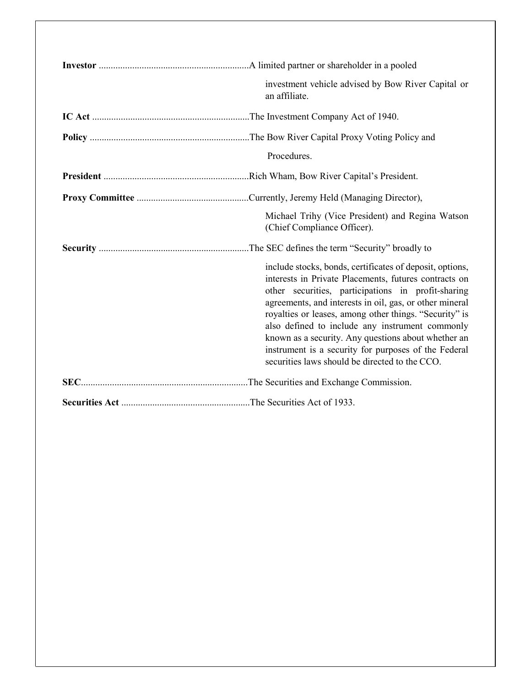| investment vehicle advised by Bow River Capital or<br>an affiliate.                                                                                                                                                                                                                                                                                                                                                                                                                                              |
|------------------------------------------------------------------------------------------------------------------------------------------------------------------------------------------------------------------------------------------------------------------------------------------------------------------------------------------------------------------------------------------------------------------------------------------------------------------------------------------------------------------|
|                                                                                                                                                                                                                                                                                                                                                                                                                                                                                                                  |
|                                                                                                                                                                                                                                                                                                                                                                                                                                                                                                                  |
| Procedures.                                                                                                                                                                                                                                                                                                                                                                                                                                                                                                      |
|                                                                                                                                                                                                                                                                                                                                                                                                                                                                                                                  |
|                                                                                                                                                                                                                                                                                                                                                                                                                                                                                                                  |
| Michael Trihy (Vice President) and Regina Watson<br>(Chief Compliance Officer).                                                                                                                                                                                                                                                                                                                                                                                                                                  |
|                                                                                                                                                                                                                                                                                                                                                                                                                                                                                                                  |
| include stocks, bonds, certificates of deposit, options,<br>interests in Private Placements, futures contracts on<br>other securities, participations in profit-sharing<br>agreements, and interests in oil, gas, or other mineral<br>royalties or leases, among other things. "Security" is<br>also defined to include any instrument commonly<br>known as a security. Any questions about whether an<br>instrument is a security for purposes of the Federal<br>securities laws should be directed to the CCO. |
|                                                                                                                                                                                                                                                                                                                                                                                                                                                                                                                  |
|                                                                                                                                                                                                                                                                                                                                                                                                                                                                                                                  |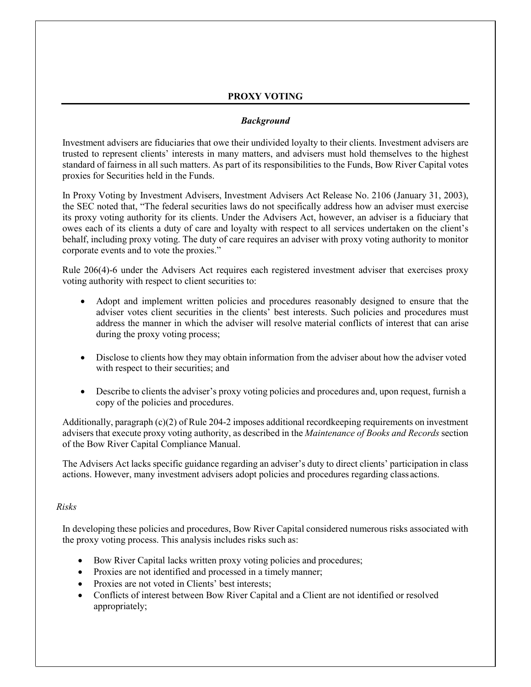# **PROXY VOTING**

# *Background*

Investment advisers are fiduciaries that owe their undivided loyalty to their clients. Investment advisers are trusted to represent clients' interests in many matters, and advisers must hold themselves to the highest standard of fairness in all such matters. As part of its responsibilities to the Funds, Bow River Capital votes proxies for Securities held in the Funds.

In Proxy Voting by Investment Advisers, Investment Advisers Act Release No. 2106 (January 31, 2003), the SEC noted that, "The federal securities laws do not specifically address how an adviser must exercise its proxy voting authority for its clients. Under the Advisers Act, however, an adviser is a fiduciary that owes each of its clients a duty of care and loyalty with respect to all services undertaken on the client's behalf, including proxy voting. The duty of care requires an adviser with proxy voting authority to monitor corporate events and to vote the proxies."

Rule 206(4)-6 under the Advisers Act requires each registered investment adviser that exercises proxy voting authority with respect to client securities to:

- Adopt and implement written policies and procedures reasonably designed to ensure that the adviser votes client securities in the clients' best interests. Such policies and procedures must address the manner in which the adviser will resolve material conflicts of interest that can arise during the proxy voting process;
- Disclose to clients how they may obtain information from the adviser about how the adviser voted with respect to their securities; and
- Describe to clients the adviser's proxy voting policies and procedures and, upon request, furnish a copy of the policies and procedures.

Additionally, paragraph (c)(2) of Rule 204-2 imposes additional recordkeeping requirements on investment advisers that execute proxy voting authority, as described in the *Maintenance of Books and Records* section of the Bow River Capital Compliance Manual.

The Advisers Act lacks specific guidance regarding an adviser's duty to direct clients' participation in class actions. However, many investment advisers adopt policies and procedures regarding class actions.

## *Risks*

In developing these policies and procedures, Bow River Capital considered numerous risks associated with the proxy voting process. This analysis includes risks such as:

- Bow River Capital lacks written proxy voting policies and procedures;
- Proxies are not identified and processed in a timely manner;
- Proxies are not voted in Clients' best interests;
- Conflicts of interest between Bow River Capital and a Client are not identified or resolved appropriately;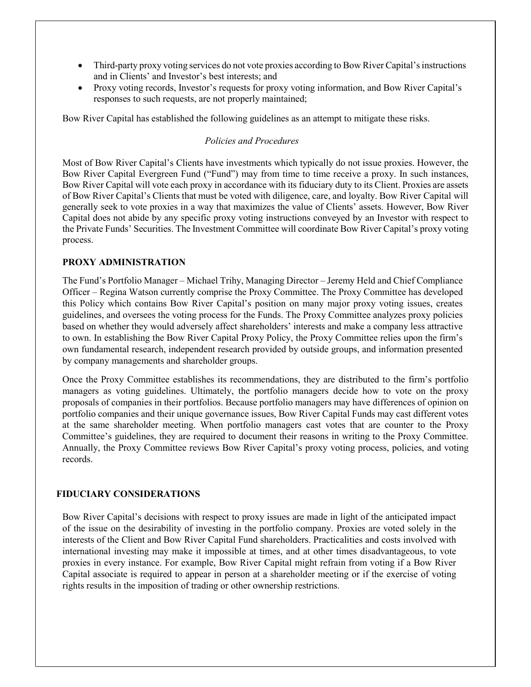- Third-party proxy voting services do not vote proxies according to Bow River Capital's instructions and in Clients' and Investor's best interests; and
- Proxy voting records, Investor's requests for proxy voting information, and Bow River Capital's responses to such requests, are not properly maintained;

Bow River Capital has established the following guidelines as an attempt to mitigate these risks.

## *Policies and Procedures*

Most of Bow River Capital's Clients have investments which typically do not issue proxies. However, the Bow River Capital Evergreen Fund ("Fund") may from time to time receive a proxy. In such instances, Bow River Capital will vote each proxy in accordance with its fiduciary duty to its Client. Proxies are assets of Bow River Capital's Clients that must be voted with diligence, care, and loyalty. Bow River Capital will generally seek to vote proxies in a way that maximizes the value of Clients' assets. However, Bow River Capital does not abide by any specific proxy voting instructions conveyed by an Investor with respect to the Private Funds' Securities. The Investment Committee will coordinate Bow River Capital's proxy voting process.

## **PROXY ADMINISTRATION**

The Fund's Portfolio Manager – Michael Trihy, Managing Director – Jeremy Held and Chief Compliance Officer – Regina Watson currently comprise the Proxy Committee. The Proxy Committee has developed this Policy which contains Bow River Capital's position on many major proxy voting issues, creates guidelines, and oversees the voting process for the Funds. The Proxy Committee analyzes proxy policies based on whether they would adversely affect shareholders' interests and make a company less attractive to own. In establishing the Bow River Capital Proxy Policy, the Proxy Committee relies upon the firm's own fundamental research, independent research provided by outside groups, and information presented by company managements and shareholder groups.

Once the Proxy Committee establishes its recommendations, they are distributed to the firm's portfolio managers as voting guidelines. Ultimately, the portfolio managers decide how to vote on the proxy proposals of companies in their portfolios. Because portfolio managers may have differences of opinion on portfolio companies and their unique governance issues, Bow River Capital Funds may cast different votes at the same shareholder meeting. When portfolio managers cast votes that are counter to the Proxy Committee's guidelines, they are required to document their reasons in writing to the Proxy Committee. Annually, the Proxy Committee reviews Bow River Capital's proxy voting process, policies, and voting records.

## **FIDUCIARY CONSIDERATIONS**

Bow River Capital's decisions with respect to proxy issues are made in light of the anticipated impact of the issue on the desirability of investing in the portfolio company. Proxies are voted solely in the interests of the Client and Bow River Capital Fund shareholders. Practicalities and costs involved with international investing may make it impossible at times, and at other times disadvantageous, to vote proxies in every instance. For example, Bow River Capital might refrain from voting if a Bow River Capital associate is required to appear in person at a shareholder meeting or if the exercise of voting rights results in the imposition of trading or other ownership restrictions.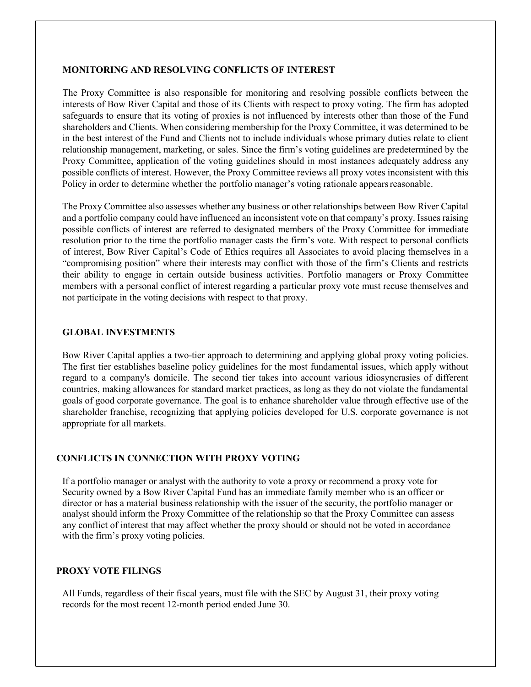### **MONITORING AND RESOLVING CONFLICTS OF INTEREST**

The Proxy Committee is also responsible for monitoring and resolving possible conflicts between the interests of Bow River Capital and those of its Clients with respect to proxy voting. The firm has adopted safeguards to ensure that its voting of proxies is not influenced by interests other than those of the Fund shareholders and Clients. When considering membership for the Proxy Committee, it was determined to be in the best interest of the Fund and Clients not to include individuals whose primary duties relate to client relationship management, marketing, or sales. Since the firm's voting guidelines are predetermined by the Proxy Committee, application of the voting guidelines should in most instances adequately address any possible conflicts of interest. However, the Proxy Committee reviews all proxy votes inconsistent with this Policy in order to determine whether the portfolio manager's voting rationale appears reasonable.

The Proxy Committee also assesses whether any business or other relationships between Bow River Capital and a portfolio company could have influenced an inconsistent vote on that company's proxy. Issues raising possible conflicts of interest are referred to designated members of the Proxy Committee for immediate resolution prior to the time the portfolio manager casts the firm's vote. With respect to personal conflicts of interest, Bow River Capital's Code of Ethics requires all Associates to avoid placing themselves in a "compromising position" where their interests may conflict with those of the firm's Clients and restricts their ability to engage in certain outside business activities. Portfolio managers or Proxy Committee members with a personal conflict of interest regarding a particular proxy vote must recuse themselves and not participate in the voting decisions with respect to that proxy.

#### **GLOBAL INVESTMENTS**

Bow River Capital applies a two-tier approach to determining and applying global proxy voting policies. The first tier establishes baseline policy guidelines for the most fundamental issues, which apply without regard to a company's domicile. The second tier takes into account various idiosyncrasies of different countries, making allowances for standard market practices, as long as they do not violate the fundamental goals of good corporate governance. The goal is to enhance shareholder value through effective use of the shareholder franchise, recognizing that applying policies developed for U.S. corporate governance is not appropriate for all markets.

# **CONFLICTS IN CONNECTION WITH PROXY VOTING**

If a portfolio manager or analyst with the authority to vote a proxy or recommend a proxy vote for Security owned by a Bow River Capital Fund has an immediate family member who is an officer or director or has a material business relationship with the issuer of the security, the portfolio manager or analyst should inform the Proxy Committee of the relationship so that the Proxy Committee can assess any conflict of interest that may affect whether the proxy should or should not be voted in accordance with the firm's proxy voting policies.

#### **PROXY VOTE FILINGS**

All Funds, regardless of their fiscal years, must file with the SEC by August 31, their proxy voting records for the most recent 12-month period ended June 30.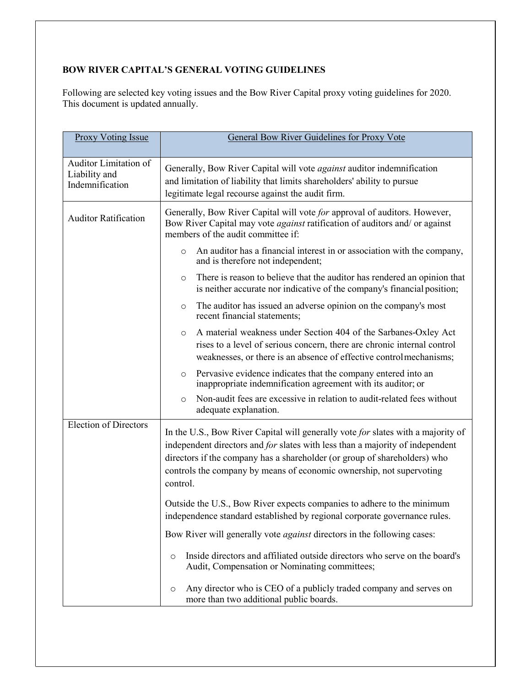# **BOW RIVER CAPITAL'S GENERAL VOTING GUIDELINES**

Following are selected key voting issues and the Bow River Capital proxy voting guidelines for 2020. This document is updated annually.

| <b>Proxy Voting Issue</b>                                 | <b>General Bow River Guidelines for Proxy Vote</b>                                                                                                                                                                                                                                                                                 |  |
|-----------------------------------------------------------|------------------------------------------------------------------------------------------------------------------------------------------------------------------------------------------------------------------------------------------------------------------------------------------------------------------------------------|--|
|                                                           |                                                                                                                                                                                                                                                                                                                                    |  |
| Auditor Limitation of<br>Liability and<br>Indemnification | Generally, Bow River Capital will vote <i>against</i> auditor indemnification<br>and limitation of liability that limits shareholders' ability to pursue<br>legitimate legal recourse against the audit firm.                                                                                                                      |  |
| <b>Auditor Ratification</b>                               | Generally, Bow River Capital will vote for approval of auditors. However,<br>Bow River Capital may vote <i>against</i> ratification of auditors and/ or against<br>members of the audit committee if:                                                                                                                              |  |
|                                                           | An auditor has a financial interest in or association with the company,<br>$\circ$<br>and is therefore not independent;                                                                                                                                                                                                            |  |
|                                                           | There is reason to believe that the auditor has rendered an opinion that<br>$\circ$<br>is neither accurate nor indicative of the company's financial position;                                                                                                                                                                     |  |
|                                                           | The auditor has issued an adverse opinion on the company's most<br>$\circ$<br>recent financial statements;                                                                                                                                                                                                                         |  |
|                                                           | A material weakness under Section 404 of the Sarbanes-Oxley Act<br>$\circ$<br>rises to a level of serious concern, there are chronic internal control<br>weaknesses, or there is an absence of effective control mechanisms;                                                                                                       |  |
|                                                           | Pervasive evidence indicates that the company entered into an<br>$\circ$<br>inappropriate indemnification agreement with its auditor; or                                                                                                                                                                                           |  |
|                                                           | Non-audit fees are excessive in relation to audit-related fees without<br>$\circ$<br>adequate explanation.                                                                                                                                                                                                                         |  |
| <b>Election of Directors</b>                              | In the U.S., Bow River Capital will generally vote for slates with a majority of<br>independent directors and for slates with less than a majority of independent<br>directors if the company has a shareholder (or group of shareholders) who<br>controls the company by means of economic ownership, not supervoting<br>control. |  |
|                                                           | Outside the U.S., Bow River expects companies to adhere to the minimum<br>independence standard established by regional corporate governance rules                                                                                                                                                                                 |  |
|                                                           | Bow River will generally vote <i>against</i> directors in the following cases:                                                                                                                                                                                                                                                     |  |
|                                                           | Inside directors and affiliated outside directors who serve on the board's<br>$\circ$<br>Audit, Compensation or Nominating committees;                                                                                                                                                                                             |  |
|                                                           | Any director who is CEO of a publicly traded company and serves on<br>$\circ$<br>more than two additional public boards.                                                                                                                                                                                                           |  |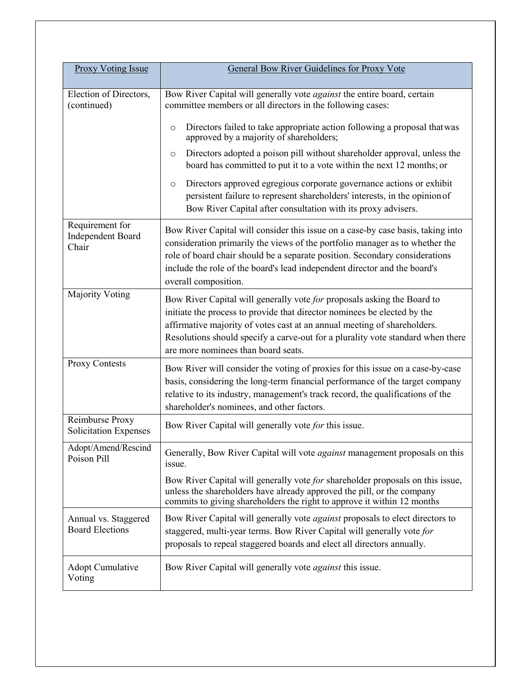| <b>Proxy Voting Issue</b>                       | General Bow River Guidelines for Proxy Vote                                                                                                                                                                                                                                                                                                                                                                                                                                                                                                                                                                                                                                       |
|-------------------------------------------------|-----------------------------------------------------------------------------------------------------------------------------------------------------------------------------------------------------------------------------------------------------------------------------------------------------------------------------------------------------------------------------------------------------------------------------------------------------------------------------------------------------------------------------------------------------------------------------------------------------------------------------------------------------------------------------------|
|                                                 |                                                                                                                                                                                                                                                                                                                                                                                                                                                                                                                                                                                                                                                                                   |
| Election of Directors,<br>(continued)           | Bow River Capital will generally vote <i>against</i> the entire board, certain<br>committee members or all directors in the following cases:<br>Directors failed to take appropriate action following a proposal that was<br>$\circ$<br>approved by a majority of shareholders;<br>Directors adopted a poison pill without shareholder approval, unless the<br>$\circ$<br>board has committed to put it to a vote within the next 12 months; or<br>Directors approved egregious corporate governance actions or exhibit<br>$\circ$<br>persistent failure to represent shareholders' interests, in the opinion of<br>Bow River Capital after consultation with its proxy advisers. |
| Requirement for<br>Independent Board<br>Chair   | Bow River Capital will consider this issue on a case-by case basis, taking into<br>consideration primarily the views of the portfolio manager as to whether the<br>role of board chair should be a separate position. Secondary considerations<br>include the role of the board's lead independent director and the board's<br>overall composition.                                                                                                                                                                                                                                                                                                                               |
| <b>Majority Voting</b>                          | Bow River Capital will generally vote for proposals asking the Board to<br>initiate the process to provide that director nominees be elected by the<br>affirmative majority of votes cast at an annual meeting of shareholders.<br>Resolutions should specify a carve-out for a plurality vote standard when there<br>are more nominees than board seats.                                                                                                                                                                                                                                                                                                                         |
| Proxy Contests                                  | Bow River will consider the voting of proxies for this issue on a case-by-case<br>basis, considering the long-term financial performance of the target company<br>relative to its industry, management's track record, the qualifications of the<br>shareholder's nominees, and other factors.                                                                                                                                                                                                                                                                                                                                                                                    |
| Reimburse Proxy<br><b>Solicitation Expenses</b> | Bow River Capital will generally vote for this issue.                                                                                                                                                                                                                                                                                                                                                                                                                                                                                                                                                                                                                             |
| Adopt/Amend/Rescind<br>Poison Pill              | Generally, Bow River Capital will vote against management proposals on this<br>issue.                                                                                                                                                                                                                                                                                                                                                                                                                                                                                                                                                                                             |
|                                                 | Bow River Capital will generally vote for shareholder proposals on this issue,<br>unless the shareholders have already approved the pill, or the company<br>commits to giving shareholders the right to approve it within 12 months                                                                                                                                                                                                                                                                                                                                                                                                                                               |
| Annual vs. Staggered<br><b>Board Elections</b>  | Bow River Capital will generally vote <i>against</i> proposals to elect directors to<br>staggered, multi-year terms. Bow River Capital will generally vote for<br>proposals to repeal staggered boards and elect all directors annually.                                                                                                                                                                                                                                                                                                                                                                                                                                          |
| Adopt Cumulative<br>Voting                      | Bow River Capital will generally vote <i>against</i> this issue.                                                                                                                                                                                                                                                                                                                                                                                                                                                                                                                                                                                                                  |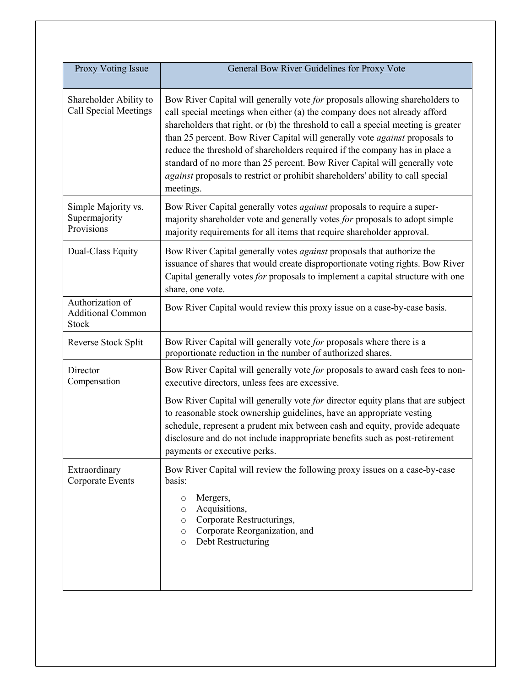| Proxy Voting Issue                                    | General Bow River Guidelines for Proxy Vote                                                                                                                                                                                                                                                                                                                                                                                                                                                                                                                                                 |
|-------------------------------------------------------|---------------------------------------------------------------------------------------------------------------------------------------------------------------------------------------------------------------------------------------------------------------------------------------------------------------------------------------------------------------------------------------------------------------------------------------------------------------------------------------------------------------------------------------------------------------------------------------------|
| Shareholder Ability to<br>Call Special Meetings       | Bow River Capital will generally vote for proposals allowing shareholders to<br>call special meetings when either (a) the company does not already afford<br>shareholders that right, or (b) the threshold to call a special meeting is greater<br>than 25 percent. Bow River Capital will generally vote against proposals to<br>reduce the threshold of shareholders required if the company has in place a<br>standard of no more than 25 percent. Bow River Capital will generally vote<br>against proposals to restrict or prohibit shareholders' ability to call special<br>meetings. |
| Simple Majority vs.<br>Supermajority<br>Provisions    | Bow River Capital generally votes <i>against</i> proposals to require a super-<br>majority shareholder vote and generally votes for proposals to adopt simple<br>majority requirements for all items that require shareholder approval.                                                                                                                                                                                                                                                                                                                                                     |
| Dual-Class Equity                                     | Bow River Capital generally votes against proposals that authorize the<br>issuance of shares that would create disproportionate voting rights. Bow River<br>Capital generally votes for proposals to implement a capital structure with one<br>share, one vote.                                                                                                                                                                                                                                                                                                                             |
| Authorization of<br><b>Additional Common</b><br>Stock | Bow River Capital would review this proxy issue on a case-by-case basis.                                                                                                                                                                                                                                                                                                                                                                                                                                                                                                                    |
| Reverse Stock Split                                   | Bow River Capital will generally vote for proposals where there is a<br>proportionate reduction in the number of authorized shares.                                                                                                                                                                                                                                                                                                                                                                                                                                                         |
| Director<br>Compensation                              | Bow River Capital will generally vote for proposals to award cash fees to non-<br>executive directors, unless fees are excessive.                                                                                                                                                                                                                                                                                                                                                                                                                                                           |
|                                                       | Bow River Capital will generally vote for director equity plans that are subject<br>to reasonable stock ownership guidelines, have an appropriate vesting<br>schedule, represent a prudent mix between cash and equity, provide adequate<br>disclosure and do not include inappropriate benefits such as post-retirement<br>payments or executive perks.                                                                                                                                                                                                                                    |
| Extraordinary<br><b>Corporate Events</b>              | Bow River Capital will review the following proxy issues on a case-by-case<br>basis:<br>Mergers,<br>O<br>Acquisitions,<br>O<br>Corporate Restructurings,<br>$\circ$<br>Corporate Reorganization, and<br>$\circ$<br>Debt Restructuring<br>$\circ$                                                                                                                                                                                                                                                                                                                                            |